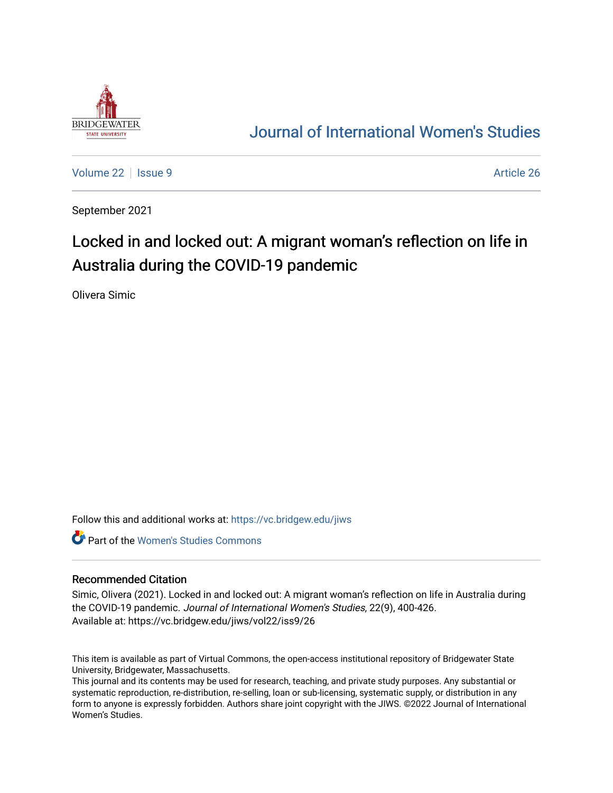

## [Journal of International Women's Studies](https://vc.bridgew.edu/jiws)

[Volume 22](https://vc.bridgew.edu/jiws/vol22) | [Issue 9](https://vc.bridgew.edu/jiws/vol22/iss9) Article 26

September 2021

# Locked in and locked out: A migrant woman's reflection on life in Australia during the COVID-19 pandemic

Olivera Simic

Follow this and additional works at: [https://vc.bridgew.edu/jiws](https://vc.bridgew.edu/jiws?utm_source=vc.bridgew.edu%2Fjiws%2Fvol22%2Fiss9%2F26&utm_medium=PDF&utm_campaign=PDFCoverPages)

**C** Part of the Women's Studies Commons

#### Recommended Citation

Simic, Olivera (2021). Locked in and locked out: A migrant woman's reflection on life in Australia during the COVID-19 pandemic. Journal of International Women's Studies, 22(9), 400-426. Available at: https://vc.bridgew.edu/jiws/vol22/iss9/26

This item is available as part of Virtual Commons, the open-access institutional repository of Bridgewater State University, Bridgewater, Massachusetts.

This journal and its contents may be used for research, teaching, and private study purposes. Any substantial or systematic reproduction, re-distribution, re-selling, loan or sub-licensing, systematic supply, or distribution in any form to anyone is expressly forbidden. Authors share joint copyright with the JIWS. ©2022 Journal of International Women's Studies.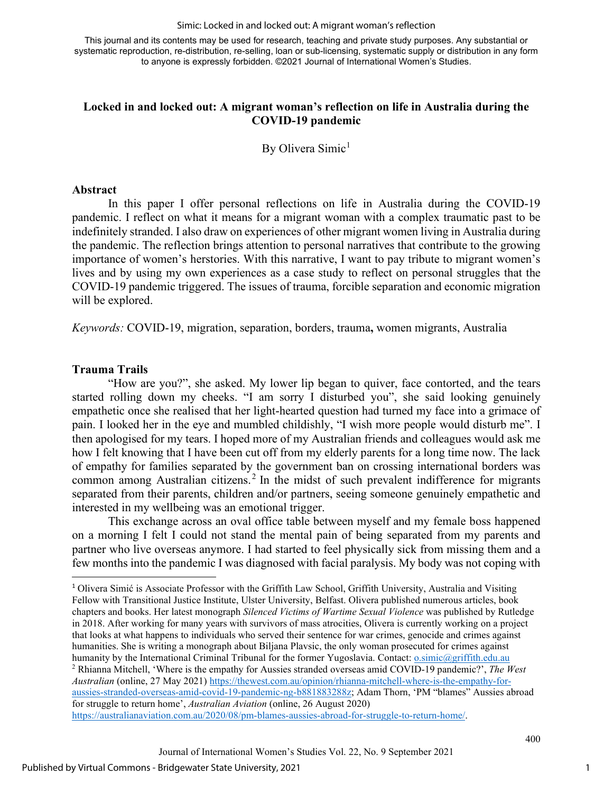Simic: Locked in and locked out: A migrant woman's reflection

This journal and its contents may be used for research, teaching and private study purposes. Any substantial or systematic reproduction, re-distribution, re-selling, loan or sub-licensing, systematic supply or distribution in any form to anyone is expressly forbidden. ©2021 Journal of International Women's Studies.

#### **Locked in and locked out: A migrant woman's reflection on life in Australia during the COVID-19 pandemic**

By Olivera Simic<sup>[1](#page-1-0)</sup>

#### **Abstract**

In this paper I offer personal reflections on life in Australia during the COVID-19 pandemic. I reflect on what it means for a migrant woman with a complex traumatic past to be indefinitely stranded. I also draw on experiences of other migrant women living in Australia during the pandemic. The reflection brings attention to personal narratives that contribute to the growing importance of women's herstories. With this narrative, I want to pay tribute to migrant women's lives and by using my own experiences as a case study to reflect on personal struggles that the COVID-19 pandemic triggered. The issues of trauma, forcible separation and economic migration will be explored.

*Keywords:* COVID-19, migration, separation, borders, trauma**,** women migrants, Australia

#### **Trauma Trails**

"How are you?", she asked. My lower lip began to quiver, face contorted, and the tears started rolling down my cheeks. "I am sorry I disturbed you", she said looking genuinely empathetic once she realised that her light-hearted question had turned my face into a grimace of pain. I looked her in the eye and mumbled childishly, "I wish more people would disturb me". I then apologised for my tears. I hoped more of my Australian friends and colleagues would ask me how I felt knowing that I have been cut off from my elderly parents for a long time now. The lack of empathy for families separated by the government ban on crossing international borders was common among Australian citizens.<sup>[2](#page-1-1)</sup> In the midst of such prevalent indifference for migrants separated from their parents, children and/or partners, seeing someone genuinely empathetic and interested in my wellbeing was an emotional trigger.

This exchange across an oval office table between myself and my female boss happened on a morning I felt I could not stand the mental pain of being separated from my parents and partner who live overseas anymore. I had started to feel physically sick from missing them and a few months into the pandemic I was diagnosed with facial paralysis. My body was not coping with

<span id="page-1-1"></span><span id="page-1-0"></span><sup>1</sup> Olivera Simić is Associate Professor with the Griffith Law School, Griffith University, Australia and Visiting Fellow with Transitional Justice Institute, Ulster University, Belfast. Olivera published numerous articles, book chapters and books. Her latest monograph *Silenced Victims of Wartime Sexual Violence* was published by Rutledge in 2018. After working for many years with survivors of mass atrocities, Olivera is currently working on a project that looks at what happens to individuals who served their sentence for war crimes, genocide and crimes against humanities. She is writing a monograph about Biljana Plavsic, the only woman prosecuted for crimes against humanity by the International Criminal Tribunal for the former Yugoslavia. Contact[: o.simic@griffith.edu.au](mailto:o.simic@griffith.edu.au) <sup>2</sup> Rhianna Mitchell, 'Where is the empathy for Aussies stranded overseas amid COVID-19 pandemic?', *The West Australian* (online, 27 May 2021) [https://thewest.com.au/opinion/rhianna-mitchell-where-is-the-empathy-for](https://thewest.com.au/opinion/rhianna-mitchell-where-is-the-empathy-for-aussies-stranded-overseas-amid-covid-19-pandemic-ng-b881883288z)[aussies-stranded-overseas-amid-covid-19-pandemic-ng-b881883288z;](https://thewest.com.au/opinion/rhianna-mitchell-where-is-the-empathy-for-aussies-stranded-overseas-amid-covid-19-pandemic-ng-b881883288z) Adam Thorn, 'PM "blames" Aussies abroad for struggle to return home', *Australian Aviation* (online, 26 August 2020) [https://australianaviation.com.au/2020/08/pm-blames-aussies-abroad-for-struggle-to-return-home/.](https://australianaviation.com.au/2020/08/pm-blames-aussies-abroad-for-struggle-to-return-home/)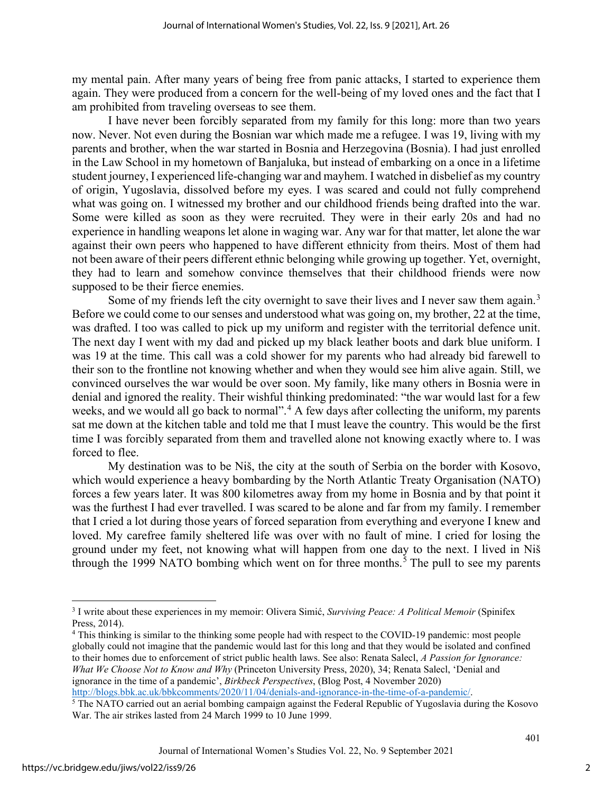my mental pain. After many years of being free from panic attacks, I started to experience them again. They were produced from a concern for the well-being of my loved ones and the fact that I am prohibited from traveling overseas to see them.

I have never been forcibly separated from my family for this long: more than two years now. Never. Not even during the Bosnian war which made me a refugee. I was 19, living with my parents and brother, when the war started in Bosnia and Herzegovina (Bosnia). I had just enrolled in the Law School in my hometown of Banjaluka, but instead of embarking on a once in a lifetime student journey, I experienced life-changing war and mayhem. I watched in disbelief as my country of origin, Yugoslavia, dissolved before my eyes. I was scared and could not fully comprehend what was going on. I witnessed my brother and our childhood friends being drafted into the war. Some were killed as soon as they were recruited. They were in their early 20s and had no experience in handling weapons let alone in waging war. Any war for that matter, let alone the war against their own peers who happened to have different ethnicity from theirs. Most of them had not been aware of their peers different ethnic belonging while growing up together. Yet, overnight, they had to learn and somehow convince themselves that their childhood friends were now supposed to be their fierce enemies.

Some of my friends left the city overnight to save their lives and I never saw them again.<sup>[3](#page-2-0)</sup> Before we could come to our senses and understood what was going on, my brother, 22 at the time, was drafted. I too was called to pick up my uniform and register with the territorial defence unit. The next day I went with my dad and picked up my black leather boots and dark blue uniform. I was 19 at the time. This call was a cold shower for my parents who had already bid farewell to their son to the frontline not knowing whether and when they would see him alive again. Still, we convinced ourselves the war would be over soon. My family, like many others in Bosnia were in denial and ignored the reality. Their wishful thinking predominated: "the war would last for a few weeks, and we would all go back to normal".<sup>[4](#page-2-1)</sup> A few days after collecting the uniform, my parents sat me down at the kitchen table and told me that I must leave the country. This would be the first time I was forcibly separated from them and travelled alone not knowing exactly where to. I was forced to flee.

My destination was to be Niš, the city at the south of Serbia on the border with Kosovo, which would experience a heavy bombarding by the North Atlantic Treaty Organisation (NATO) forces a few years later. It was 800 kilometres away from my home in Bosnia and by that point it was the furthest I had ever travelled. I was scared to be alone and far from my family. I remember that I cried a lot during those years of forced separation from everything and everyone I knew and loved. My carefree family sheltered life was over with no fault of mine. I cried for losing the ground under my feet, not knowing what will happen from one day to the next. I lived in Niš through the 1999 NATO bombing which went on for three months.<sup>[5](#page-2-2)</sup> The pull to see my parents

<span id="page-2-1"></span>globally could not imagine that the pandemic would last for this long and that they would be isolated and confined to their homes due to enforcement of strict public health laws. See also: Renata Salecl, *A Passion for Ignorance: What We Choose Not to Know and Why* (Princeton University Press, 2020), 34; Renata Salecl, 'Denial and ignorance in the time of a pandemic', *Birkbeck Perspectives*, (Blog Post, 4 November 2020)

<sup>5</sup> The NATO carried out an aerial bombing campaign against the Federal Republic of Yugoslavia during the Kosovo

<span id="page-2-0"></span><sup>3</sup> I write about these experiences in my memoir: Olivera Simić, *Surviving Peace: A Political Memoir* (Spinifex Press, 2014).<br><sup>4</sup> This thinking is similar to the thinking some people had with respect to the COVID-19 pandemic: most people

<span id="page-2-2"></span>War. The air strikes lasted from 24 March 1999 to 10 June 1999.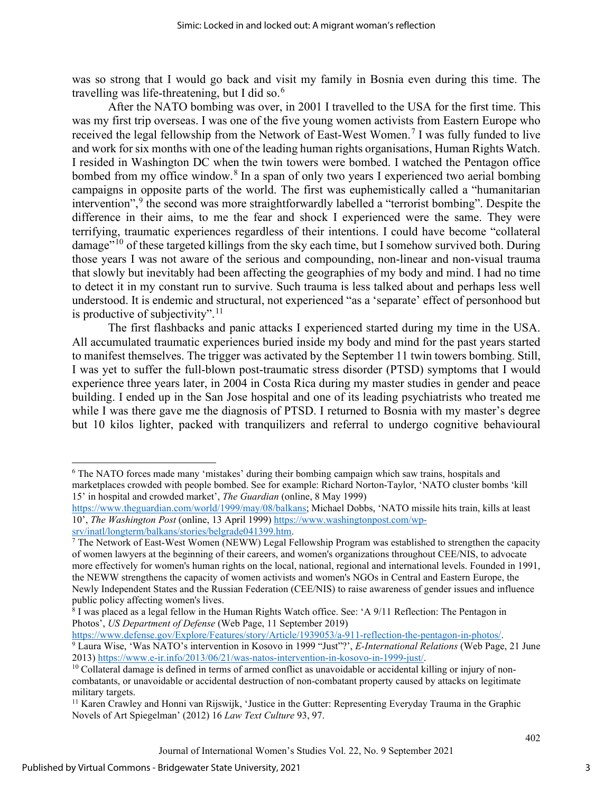was so strong that I would go back and visit my family in Bosnia even during this time. The travelling was life-threatening, but I did so. $^6$  $^6$ 

After the NATO bombing was over, in 2001 I travelled to the USA for the first time. This was my first trip overseas. I was one of the five young women activists from Eastern Europe who received the legal fellowship from the Network of East-West Women.<sup>[7](#page-3-1)</sup> I was fully funded to live and work for six months with one of the leading human rights organisations, Human Rights Watch. I resided in Washington DC when the twin towers were bombed. I watched the Pentagon office bombed from my office window.<sup>[8](#page-3-2)</sup> In a span of only two years I experienced two aerial bombing campaigns in opposite parts of the world. The first was euphemistically called a "humanitarian intervention",<sup>[9](#page-3-3)</sup> the second was more straightforwardly labelled a "terrorist bombing". Despite the difference in their aims, to me the fear and shock I experienced were the same. They were terrifying, traumatic experiences regardless of their intentions. I could have become "collateral damage"<sup>[10](#page-3-4)</sup> of these targeted killings from the sky each time, but I somehow survived both. During those years I was not aware of the serious and compounding, non-linear and non-visual trauma that slowly but inevitably had been affecting the geographies of my body and mind. I had no time to detect it in my constant run to survive. Such trauma is less talked about and perhaps less well understood. It is endemic and structural, not experienced "as a 'separate' effect of personhood but is productive of subjectivity".<sup>[11](#page-3-5)</sup>

The first flashbacks and panic attacks I experienced started during my time in the USA. All accumulated traumatic experiences buried inside my body and mind for the past years started to manifest themselves. The trigger was activated by the September 11 twin towers bombing. Still, I was yet to suffer the full-blown post-traumatic stress disorder (PTSD) symptoms that I would experience three years later, in 2004 in Costa Rica during my master studies in gender and peace building. I ended up in the San Jose hospital and one of its leading psychiatrists who treated me while I was there gave me the diagnosis of PTSD. I returned to Bosnia with my master's degree but 10 kilos lighter, packed with tranquilizers and referral to undergo cognitive behavioural

<span id="page-3-3"></span>Photos', *US Department of Defense* (Web Page, 11 September 2019)<br>https://www.defense.gov/Explore/Features/story/Article/1939053/a-911-reflection-the-pentagon-in-photos/. <sup>9</sup> Laura Wise, 'Was NATO's intervention in Kosovo in 1999 "Just"?', *E-International Relations* (Web Page, 21 June 2013) https://www.e-ir.info/2013/06/21/was-natos-intervention-in-kosovo-in-1999-just/.

<span id="page-3-0"></span><sup>6</sup> The NATO forces made many 'mistakes' during their bombing campaign which saw trains, hospitals and marketplaces crowded with people bombed. See for example: Richard Norton-Taylor, 'NATO cluster bombs 'kill 15' in hospital and crowded market', *The Guardian* (online, 8 May 1999)

[https://www.theguardian.com/world/1999/may/08/balkans;](https://www.theguardian.com/world/1999/may/08/balkans) Michael Dobbs, 'NATO missile hits train, kills at least 10', *The Washington Post* (online, 13 April 1999[\) https://www.washingtonpost.com/wp-](https://www.washingtonpost.com/wp-srv/inatl/longterm/balkans/stories/belgrade041399.htm)

<span id="page-3-1"></span> $\frac{\text{Srv/inat/longterm/balkans/stories/belgrade041399.htm}}{$ <br>The Network of East-West Women (NEWW) Legal Fellowship Program was established to strengthen the capacity of women lawyers at the beginning of their careers, and women's organizations throughout CEE/NIS, to advocate more effectively for women's human rights on the local, national, regional and international levels. Founded in 1991, the NEWW strengthens the capacity of women activists and women's NGOs in Central and Eastern Europe, the Newly Independent States and the Russian Federation (CEE/NIS) to raise awareness of gender issues and influence public policy affecting women's lives.

<span id="page-3-2"></span><sup>&</sup>lt;sup>8</sup> I was placed as a legal fellow in the Human Rights Watch office. See: 'A 9/11 Reflection: The Pentagon in

<span id="page-3-4"></span> $10$  Collateral damage is defined in terms of armed conflict as unavoidable or accidental killing or injury of noncombatants, or unavoidable or accidental destruction of non-combatant property caused by attacks on legitimate military targets.

<span id="page-3-5"></span><sup>&</sup>lt;sup>11</sup> Karen Crawley and Honni van Rijswijk, 'Justice in the Gutter: Representing Everyday Trauma in the Graphic Novels of Art Spiegelman' (2012) 16 *Law Text Culture* 93, 97.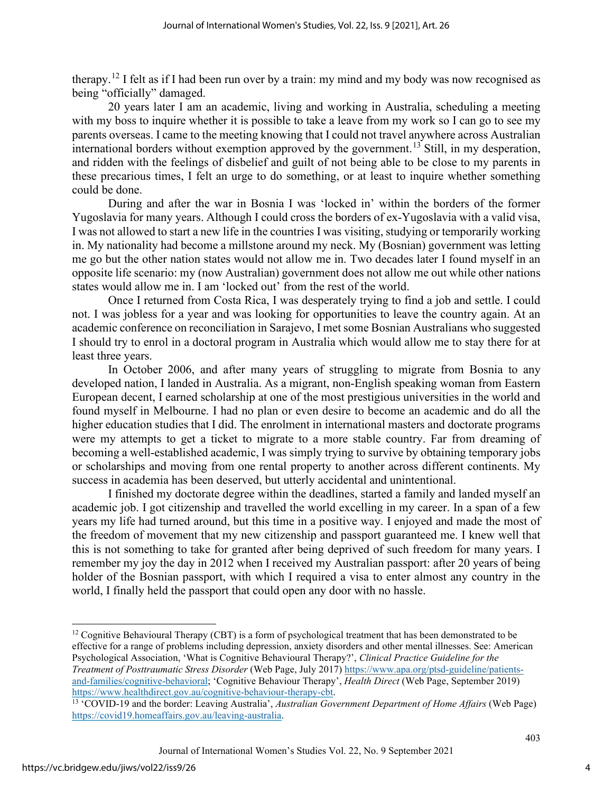therapy.[12](#page-4-0) I felt as if I had been run over by a train: my mind and my body was now recognised as being "officially" damaged.

20 years later I am an academic, living and working in Australia, scheduling a meeting with my boss to inquire whether it is possible to take a leave from my work so I can go to see my parents overseas. I came to the meeting knowing that I could not travel anywhere across Australian international borders without exemption approved by the government. [13](#page-4-1) Still, in my desperation, and ridden with the feelings of disbelief and guilt of not being able to be close to my parents in these precarious times, I felt an urge to do something, or at least to inquire whether something could be done.

During and after the war in Bosnia I was 'locked in' within the borders of the former Yugoslavia for many years. Although I could cross the borders of ex-Yugoslavia with a valid visa, I was not allowed to start a new life in the countries I was visiting, studying or temporarily working in. My nationality had become a millstone around my neck. My (Bosnian) government was letting me go but the other nation states would not allow me in. Two decades later I found myself in an opposite life scenario: my (now Australian) government does not allow me out while other nations states would allow me in. I am 'locked out' from the rest of the world.

Once I returned from Costa Rica, I was desperately trying to find a job and settle. I could not. I was jobless for a year and was looking for opportunities to leave the country again. At an academic conference on reconciliation in Sarajevo, I met some Bosnian Australians who suggested I should try to enrol in a doctoral program in Australia which would allow me to stay there for at least three years.

In October 2006, and after many years of struggling to migrate from Bosnia to any developed nation, I landed in Australia. As a migrant, non-English speaking woman from Eastern European decent, I earned scholarship at one of the most prestigious universities in the world and found myself in Melbourne. I had no plan or even desire to become an academic and do all the higher education studies that I did. The enrolment in international masters and doctorate programs were my attempts to get a ticket to migrate to a more stable country. Far from dreaming of becoming a well-established academic, I was simply trying to survive by obtaining temporary jobs or scholarships and moving from one rental property to another across different continents. My success in academia has been deserved, but utterly accidental and unintentional.

I finished my doctorate degree within the deadlines, started a family and landed myself an academic job. I got citizenship and travelled the world excelling in my career. In a span of a few years my life had turned around, but this time in a positive way. I enjoyed and made the most of the freedom of movement that my new citizenship and passport guaranteed me. I knew well that this is not something to take for granted after being deprived of such freedom for many years. I remember my joy the day in 2012 when I received my Australian passport: after 20 years of being holder of the Bosnian passport, with which I required a visa to enter almost any country in the world, I finally held the passport that could open any door with no hassle.

<span id="page-4-0"></span><sup>&</sup>lt;sup>12</sup> Cognitive Behavioural Therapy (CBT) is a form of psychological treatment that has been demonstrated to be effective for a range of problems including depression, anxiety disorders and other mental illnesses. See: American Psychological Association, 'What is Cognitive Behavioural Therapy?', *Clinical Practice Guideline for the Treatment of Posttraumatic Stress Disorder* (Web Page, July 2017) [https://www.apa.org/ptsd-guideline/patients](https://www.apa.org/ptsd-guideline/patients-and-families/cognitive-behavioral)[and-families/cognitive-behavioral;](https://www.apa.org/ptsd-guideline/patients-and-families/cognitive-behavioral) 'Cognitive Behaviour Therapy', *Health Direct* (Web Page, September 2019)

<span id="page-4-1"></span><sup>&</sup>lt;sup>13 '</sup>COVID-19 and the border: Leaving Australia', *Australian Government Department of Home Affairs* (Web Page) [https://covid19.homeaffairs.gov.au/leaving-australia.](https://covid19.homeaffairs.gov.au/leaving-australia)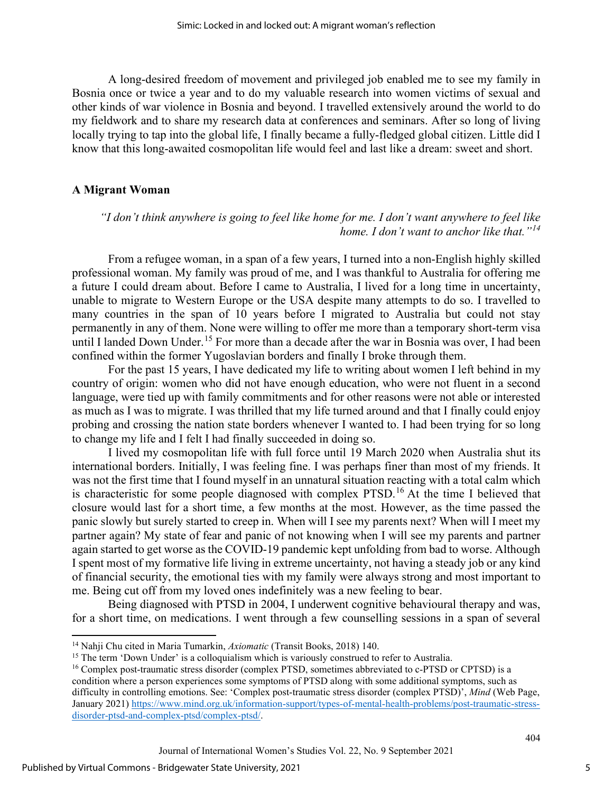A long-desired freedom of movement and privileged job enabled me to see my family in Bosnia once or twice a year and to do my valuable research into women victims of sexual and other kinds of war violence in Bosnia and beyond. I travelled extensively around the world to do my fieldwork and to share my research data at conferences and seminars. After so long of living locally trying to tap into the global life, I finally became a fully-fledged global citizen. Little did I know that this long-awaited cosmopolitan life would feel and last like a dream: sweet and short.

#### **A Migrant Woman**

*"I don't think anywhere is going to feel like home for me. I don't want anywhere to feel like home. I don't want to anchor like that."[14](#page-5-0)*

From a refugee woman, in a span of a few years, I turned into a non-English highly skilled professional woman. My family was proud of me, and I was thankful to Australia for offering me a future I could dream about. Before I came to Australia, I lived for a long time in uncertainty, unable to migrate to Western Europe or the USA despite many attempts to do so. I travelled to many countries in the span of 10 years before I migrated to Australia but could not stay permanently in any of them. None were willing to offer me more than a temporary short-term visa until I landed Down Under.<sup>[15](#page-5-1)</sup> For more than a decade after the war in Bosnia was over, I had been confined within the former Yugoslavian borders and finally I broke through them.

For the past 15 years, I have dedicated my life to writing about women I left behind in my country of origin: women who did not have enough education, who were not fluent in a second language, were tied up with family commitments and for other reasons were not able or interested as much as I was to migrate. I was thrilled that my life turned around and that I finally could enjoy probing and crossing the nation state borders whenever I wanted to. I had been trying for so long to change my life and I felt I had finally succeeded in doing so.

I lived my cosmopolitan life with full force until 19 March 2020 when Australia shut its international borders. Initially, I was feeling fine. I was perhaps finer than most of my friends. It was not the first time that I found myself in an unnatural situation reacting with a total calm which is characteristic for some people diagnosed with complex PTSD.<sup>[16](#page-5-2)</sup> At the time I believed that closure would last for a short time, a few months at the most. However, as the time passed the panic slowly but surely started to creep in. When will I see my parents next? When will I meet my partner again? My state of fear and panic of not knowing when I will see my parents and partner again started to get worse as the COVID-19 pandemic kept unfolding from bad to worse. Although I spent most of my formative life living in extreme uncertainty, not having a steady job or any kind of financial security, the emotional ties with my family were always strong and most important to me. Being cut off from my loved ones indefinitely was a new feeling to bear.

Being diagnosed with PTSD in 2004, I underwent cognitive behavioural therapy and was, for a short time, on medications. I went through a few counselling sessions in a span of several

<span id="page-5-1"></span><span id="page-5-0"></span><sup>&</sup>lt;sup>14</sup> Nahji Chu cited in Maria Tumarkin, *Axiomatic* (Transit Books, 2018) 140.<br><sup>15</sup> The term 'Down Under' is a colloquialism which is variously construed to refer to Australia.

<span id="page-5-2"></span><sup>&</sup>lt;sup>16</sup> Complex post-traumatic stress disorder (complex PTSD, sometimes abbreviated to c-PTSD or CPTSD) is a condition where a person experiences some [symptoms of PTSD](https://www.mind.org.uk/information-support/types-of-mental-health-problems/post-traumatic-stress-disorder-ptsd-and-complex-ptsd/symptoms/) along with some additional symptoms, such as difficulty in controlling emotions. See: 'Complex post-traumatic stress disorder (complex PTSD)', *Mind* (Web Page, January 2021) [https://www.mind.org.uk/information-support/types-of-mental-health-problems/post-traumatic-stress](https://www.mind.org.uk/information-support/types-of-mental-health-problems/post-traumatic-stress-disorder-ptsd-and-complex-ptsd/complex-ptsd/)[disorder-ptsd-and-complex-ptsd/complex-ptsd/.](https://www.mind.org.uk/information-support/types-of-mental-health-problems/post-traumatic-stress-disorder-ptsd-and-complex-ptsd/complex-ptsd/)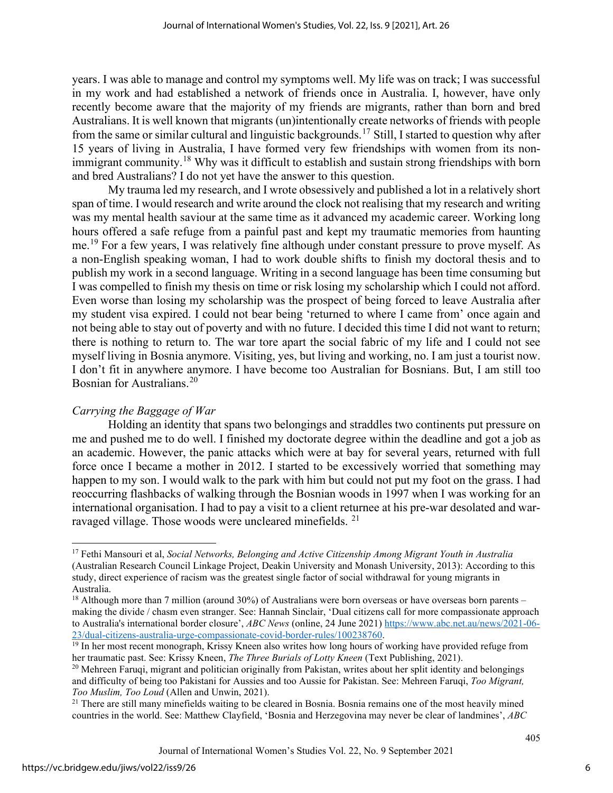years. I was able to manage and control my symptoms well. My life was on track; I was successful in my work and had established a network of friends once in Australia. I, however, have only recently become aware that the majority of my friends are migrants, rather than born and bred Australians. It is well known that migrants (un)intentionally create networks of friends with people from the same or similar cultural and linguistic backgrounds.[17](#page-6-0) Still, I started to question why after 15 years of living in Australia, I have formed very few friendships with women from its non-immigrant community.<sup>[18](#page-6-1)</sup> Why was it difficult to establish and sustain strong friendships with born and bred Australians? I do not yet have the answer to this question.

My trauma led my research, and I wrote obsessively and published a lot in a relatively short span of time. I would research and write around the clock not realising that my research and writing was my mental health saviour at the same time as it advanced my academic career. Working long hours offered a safe refuge from a painful past and kept my traumatic memories from haunting me. [19](#page-6-2) For a few years, I was relatively fine although under constant pressure to prove myself. As a non-English speaking woman, I had to work double shifts to finish my doctoral thesis and to publish my work in a second language. Writing in a second language has been time consuming but I was compelled to finish my thesis on time or risk losing my scholarship which I could not afford. Even worse than losing my scholarship was the prospect of being forced to leave Australia after my student visa expired. I could not bear being 'returned to where I came from' once again and not being able to stay out of poverty and with no future. I decided this time I did not want to return; there is nothing to return to. The war tore apart the social fabric of my life and I could not see myself living in Bosnia anymore. Visiting, yes, but living and working, no. I am just a tourist now. I don't fit in anywhere anymore. I have become too Australian for Bosnians. But, I am still too Bosnian for Australians.[20](#page-6-3) 

### *Carrying the Baggage of War*

Holding an identity that spans two belongings and straddles two continents put pressure on me and pushed me to do well. I finished my doctorate degree within the deadline and got a job as an academic. However, the panic attacks which were at bay for several years, returned with full force once I became a mother in 2012. I started to be excessively worried that something may happen to my son. I would walk to the park with him but could not put my foot on the grass. I had reoccurring flashbacks of walking through the Bosnian woods in 1997 when I was working for an international organisation. I had to pay a visit to a client returnee at his pre-war desolated and war-ravaged village. Those woods were uncleared minefields. <sup>[21](#page-6-4)</sup>

<span id="page-6-0"></span><sup>17</sup> Fethi Mansouri et al, *Social Networks, Belonging and Active Citizenship Among Migrant Youth in Australia* (Australian Research Council Linkage Project, Deakin University and Monash University, 2013): According to this study, direct experience of racism was the greatest single factor of social withdrawal for young migrants in Australia.

<span id="page-6-1"></span> $18$  Although more than 7 million (around 30%) of Australians were born overseas or have overseas born parents – making the divide / chasm even stranger. See: Hannah Sinclair, 'Dual citizens call for more compassionate approach to Australia's international border closure', *ABC News* (online, 24 June 2021) [https://www.abc.net.au/news/2021-06-](https://www.abc.net.au/news/2021-06-23/dual-citizens-australia-urge-compassionate-covid-border-rules/100238760)<br>23/dual-citizens-australia-urge-compassionate-covid-border-rules/100238760.

<span id="page-6-2"></span><sup>&</sup>lt;sup>23/dual</sup> chitaris-australia-urge-compassionate-covid-covid-covid-covid-covid-border-rules-rules-rules-rules-rules-<br><sup>19</sup> In her most recent monograph, Krissy Kneen also writes how long hours of working have provided refuge her traumatic past. See: Krissy Kneen, *The Three Burials of Lotty Kneen* (Text Publishing, 2021).

<span id="page-6-3"></span> $^{20}$  Mehreen Faruqi, migrant and politician originally from Pakistan, writes about her split identity and belongings and difficulty of being too Pakistani for Aussies and too Aussie for Pakistan. See: Mehreen Faruqi, *Too Migrant, Too Muslim, Too Loud* (Allen and Unwin, 2021).

<span id="page-6-4"></span><sup>&</sup>lt;sup>21</sup> There are still many minefields waiting to be cleared in Bosnia. Bosnia remains one of the most heavily mined countries in the world. See: Matthew Clayfield, 'Bosnia and Herzegovina may never be clear of landmines', *ABC*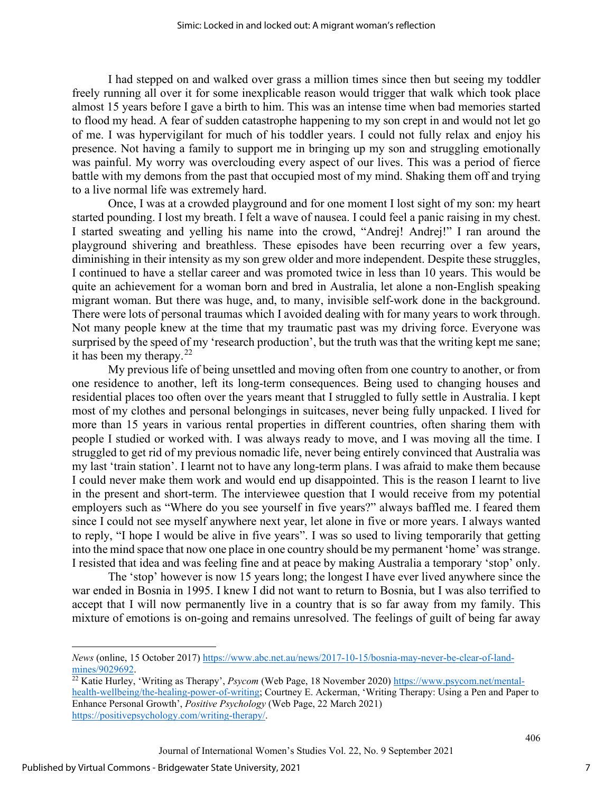I had stepped on and walked over grass a million times since then but seeing my toddler freely running all over it for some inexplicable reason would trigger that walk which took place almost 15 years before I gave a birth to him. This was an intense time when bad memories started to flood my head. A fear of sudden catastrophe happening to my son crept in and would not let go of me. I was hypervigilant for much of his toddler years. I could not fully relax and enjoy his presence. Not having a family to support me in bringing up my son and struggling emotionally was painful. My worry was overclouding every aspect of our lives. This was a period of fierce battle with my demons from the past that occupied most of my mind. Shaking them off and trying to a live normal life was extremely hard.

Once, I was at a crowded playground and for one moment I lost sight of my son: my heart started pounding. I lost my breath. I felt a wave of nausea. I could feel a panic raising in my chest. I started sweating and yelling his name into the crowd, "Andrej! Andrej!" I ran around the playground shivering and breathless. These episodes have been recurring over a few years, diminishing in their intensity as my son grew older and more independent. Despite these struggles, I continued to have a stellar career and was promoted twice in less than 10 years. This would be quite an achievement for a woman born and bred in Australia, let alone a non-English speaking migrant woman. But there was huge, and, to many, invisible self-work done in the background. There were lots of personal traumas which I avoided dealing with for many years to work through. Not many people knew at the time that my traumatic past was my driving force. Everyone was surprised by the speed of my 'research production', but the truth was that the writing kept me sane; it has been my therapy. $22$ 

My previous life of being unsettled and moving often from one country to another, or from one residence to another, left its long-term consequences. Being used to changing houses and residential places too often over the years meant that I struggled to fully settle in Australia. I kept most of my clothes and personal belongings in suitcases, never being fully unpacked. I lived for more than 15 years in various rental properties in different countries, often sharing them with people I studied or worked with. I was always ready to move, and I was moving all the time. I struggled to get rid of my previous nomadic life, never being entirely convinced that Australia was my last 'train station'. I learnt not to have any long-term plans. I was afraid to make them because I could never make them work and would end up disappointed. This is the reason I learnt to live in the present and short-term. The interviewee question that I would receive from my potential employers such as "Where do you see yourself in five years?" always baffled me. I feared them since I could not see myself anywhere next year, let alone in five or more years. I always wanted to reply, "I hope I would be alive in five years". I was so used to living temporarily that getting into the mind space that now one place in one country should be my permanent 'home' was strange. I resisted that idea and was feeling fine and at peace by making Australia a temporary 'stop' only.

The 'stop' however is now 15 years long; the longest I have ever lived anywhere since the war ended in Bosnia in 1995. I knew I did not want to return to Bosnia, but I was also terrified to accept that I will now permanently live in a country that is so far away from my family. This mixture of emotions is on-going and remains unresolved. The feelings of guilt of being far away

*News* (online, 15 October 2017) https://www.abc.net.au/news/2017-10-15/bosnia-may-never-be-clear-of-land-<br>mines/9029692.

<span id="page-7-0"></span><sup>&</sup>lt;sup>22</sup> Katie Hurley, 'Writing as Therapy', *Psycom* (Web Page, 18 November 2020) [https://www.psycom.net/mental](https://www.psycom.net/mental-health-wellbeing/the-healing-power-of-writing)[health-wellbeing/the-healing-power-of-writing](https://www.psycom.net/mental-health-wellbeing/the-healing-power-of-writing); Courtney E. Ackerman, 'Writing Therapy: Using a Pen and Paper to Enhance Personal Growth', *Positive Psychology* (Web Page, 22 March 2021) [https://positivepsychology.com/writing-therapy/.](https://positivepsychology.com/writing-therapy/)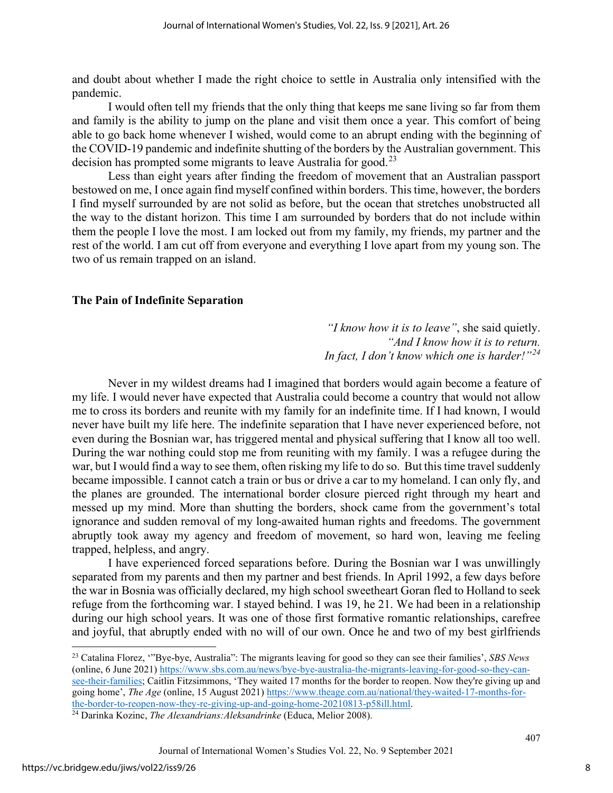and doubt about whether I made the right choice to settle in Australia only intensified with the pandemic.

I would often tell my friends that the only thing that keeps me sane living so far from them and family is the ability to jump on the plane and visit them once a year. This comfort of being able to go back home whenever I wished, would come to an abrupt ending with the beginning of the COVID-19 pandemic and indefinite shutting of the borders by the Australian government. This decision has prompted some migrants to leave Australia for good.<sup>23</sup>

Less than eight years after finding the freedom of movement that an Australian passport bestowed on me, I once again find myself confined within borders. This time, however, the borders I find myself surrounded by are not solid as before, but the ocean that stretches unobstructed all the way to the distant horizon. This time I am surrounded by borders that do not include within them the people I love the most. I am locked out from my family, my friends, my partner and the rest of the world. I am cut off from everyone and everything I love apart from my young son. The two of us remain trapped on an island.

#### **The Pain of Indefinite Separation**

*"I know how it is to leave"*, she said quietly. *"And I know how it is to return. In fact, I don't know which one is harder!"[24](#page-8-1)*

Never in my wildest dreams had I imagined that borders would again become a feature of my life. I would never have expected that Australia could become a country that would not allow me to cross its borders and reunite with my family for an indefinite time. If I had known, I would never have built my life here. The indefinite separation that I have never experienced before, not even during the Bosnian war, has triggered mental and physical suffering that I know all too well. During the war nothing could stop me from reuniting with my family. I was a refugee during the war, but I would find a way to see them, often risking my life to do so. But this time travel suddenly became impossible. I cannot catch a train or bus or drive a car to my homeland. I can only fly, and the planes are grounded. The international border closure pierced right through my heart and messed up my mind. More than shutting the borders, shock came from the government's total ignorance and sudden removal of my long-awaited human rights and freedoms. The government abruptly took away my agency and freedom of movement, so hard won, leaving me feeling trapped, helpless, and angry.

I have experienced forced separations before. During the Bosnian war I was unwillingly separated from my parents and then my partner and best friends. In April 1992, a few days before the war in Bosnia was officially declared, my high school sweetheart Goran fled to Holland to seek refuge from the forthcoming war. I stayed behind. I was 19, he 21. We had been in a relationship during our high school years. It was one of those first formative romantic relationships, carefree and joyful, that abruptly ended with no will of our own. Once he and two of my best girlfriends

<span id="page-8-0"></span><sup>23</sup> Catalina Florez, '"Bye-bye, Australia": The migrants leaving for good so they can see their families', *SBS News*  (online, 6 June 2021[\) https://www.sbs.com.au/news/bye-bye-australia-the-migrants-leaving-for-good-so-they-can](https://www.sbs.com.au/news/bye-bye-australia-the-migrants-leaving-for-good-so-they-can-see-their-families)[see-their-families;](https://www.sbs.com.au/news/bye-bye-australia-the-migrants-leaving-for-good-so-they-can-see-their-families) Caitlin Fitzsimmons, 'They waited 17 months for the border to reopen. Now they're giving up and going home', *The Age* (online, 15 August 2021) [https://www.theage.com.au/national/they-waited-17-months-for](https://www.theage.com.au/national/they-waited-17-months-for-the-border-to-reopen-now-they-re-giving-up-and-going-home-20210813-p58ill.html)[the-border-to-reopen-now-they-re-giving-up-and-going-home-20210813-p58ill.html.](https://www.theage.com.au/national/they-waited-17-months-for-the-border-to-reopen-now-they-re-giving-up-and-going-home-20210813-p58ill.html) 24 Darinka Kozinc, *The Alexandrians:Aleksandrinke* (Educa, Melior 2008).

<span id="page-8-1"></span>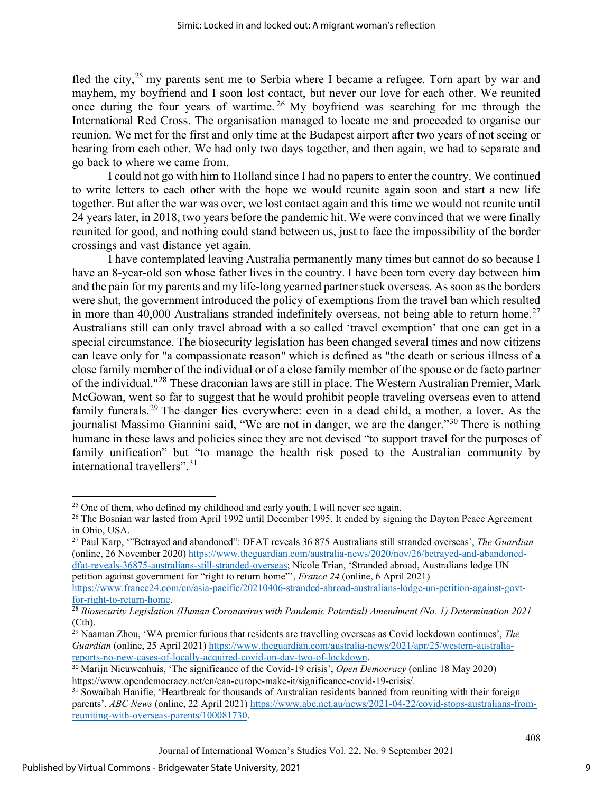fled the city,<sup>[25](#page-9-0)</sup> my parents sent me to Serbia where I became a refugee. Torn apart by war and mayhem, my boyfriend and I soon lost contact, but never our love for each other. We reunited once during the four years of wartime.<sup>[26](#page-9-1)</sup> My boyfriend was searching for me through the International Red Cross. The organisation managed to locate me and proceeded to organise our reunion. We met for the first and only time at the Budapest airport after two years of not seeing or hearing from each other. We had only two days together, and then again, we had to separate and go back to where we came from.

I could not go with him to Holland since I had no papers to enter the country. We continued to write letters to each other with the hope we would reunite again soon and start a new life together. But after the war was over, we lost contact again and this time we would not reunite until 24 years later, in 2018, two years before the pandemic hit. We were convinced that we were finally reunited for good, and nothing could stand between us, just to face the impossibility of the border crossings and vast distance yet again.

I have contemplated leaving Australia permanently many times but cannot do so because I have an 8-year-old son whose father lives in the country. I have been torn every day between him and the pain for my parents and my life-long yearned partner stuck overseas. As soon as the borders were shut, the government introduced the policy of exemptions from the travel ban which resulted in more than 40,000 Australians stranded indefinitely overseas, not being able to return home.<sup>[27](#page-9-2)</sup> Australians still can only travel abroad with a so called 'travel exemption' that one can get in a special circumstance. The biosecurity legislation has been changed several times and now citizens can leave only for "a compassionate reason" which is defined as "the death or serious illness of a close family member of the individual or of a close family member of the spouse or de facto partner of the individual."[28](#page-9-3) These draconian laws are still in place. The Western Australian Premier, Mark McGowan, went so far to suggest that he would prohibit people traveling overseas even to attend family funerals.<sup>[29](#page-9-4)</sup> The danger lies everywhere: even in a dead child, a mother, a lover. As the journalist Massimo Giannini said, "We are not in danger, we are the danger."<sup>[30](#page-9-5)</sup> There is nothing humane in these laws and policies since they are not devised "to support travel for the purposes of family unification" but "to manage the health risk posed to the Australian community by international travellers".[31](#page-9-6)

[https://www.france24.com/en/asia-pacific/20210406-stranded-abroad-australians-lodge-un-petition-against-govt](https://www.france24.com/en/asia-pacific/20210406-stranded-abroad-australians-lodge-un-petition-against-govt-for-right-to-return-home)[for-right-to-return-home.](https://www.france24.com/en/asia-pacific/20210406-stranded-abroad-australians-lodge-un-petition-against-govt-for-right-to-return-home) 28 *Biosecurity Legislation (Human Coronavirus with Pandemic Potential) Amendment (No. 1) Determination 2021*

<span id="page-9-0"></span> $25$  One of them, who defined my childhood and early youth, I will never see again.

<span id="page-9-1"></span><sup>&</sup>lt;sup>26</sup> The Bosnian war lasted from April 1992 until December 1995. It ended by signing the Dayton Peace Agreement in Ohio, USA.<br><sup>27</sup> Paul Karp, '"Betrayed and abandoned": DFAT reveals 36 875 Australians still stranded overseas', *The Guardian* 

<span id="page-9-2"></span><sup>(</sup>online, 26 November 2020) [https://www.theguardian.com/australia-news/2020/nov/26/betrayed-and-abandoned](https://www.theguardian.com/australia-news/2020/nov/26/betrayed-and-abandoned-dfat-reveals-36875-australians-still-stranded-overseas)[dfat-reveals-36875-australians-still-stranded-overseas](https://www.theguardian.com/australia-news/2020/nov/26/betrayed-and-abandoned-dfat-reveals-36875-australians-still-stranded-overseas); Nicole Trian, 'Stranded abroad, Australians lodge UN petition against government for "right to return home"', *France 24* (online, 6 April 2021)

<span id="page-9-3"></span><sup>(</sup>Cth).

<span id="page-9-4"></span><sup>&</sup>lt;sup>29</sup> Naaman Zhou, 'WA premier furious that residents are travelling overseas as Covid lockdown continues', *The Guardian* (online, 25 April 2021[\) https://www.theguardian.com/australia-news/2021/apr/25/western-australia](https://www.theguardian.com/australia-news/2021/apr/25/western-australia-reports-no-new-cases-of-locally-acquired-covid-on-day-two-of-lockdown)[reports-no-new-cases-of-locally-acquired-covid-on-day-two-of-lockdown.](https://www.theguardian.com/australia-news/2021/apr/25/western-australia-reports-no-new-cases-of-locally-acquired-covid-on-day-two-of-lockdown)

<span id="page-9-5"></span><sup>30</sup> Marijn Nieuwenhuis, 'The significance of the Covid-19 crisis', *Open Democracy* (online 18 May 2020) https://www.opendemocracy.net/en/can-europe-make-it/significance-covid-19-crisis/.

<span id="page-9-6"></span><sup>&</sup>lt;sup>31</sup> Sowaibah Hanifie, 'Heartbreak for thousands of Australian residents banned from reuniting with their foreign parents', *ABC News* (online, 22 April 2021) [https://www.abc.net.au/news/2021-04-22/covid-stops-australians-from](https://www.abc.net.au/news/2021-04-22/covid-stops-australians-from-reuniting-with-overseas-parents/100081730)[reuniting-with-overseas-parents/100081730.](https://www.abc.net.au/news/2021-04-22/covid-stops-australians-from-reuniting-with-overseas-parents/100081730)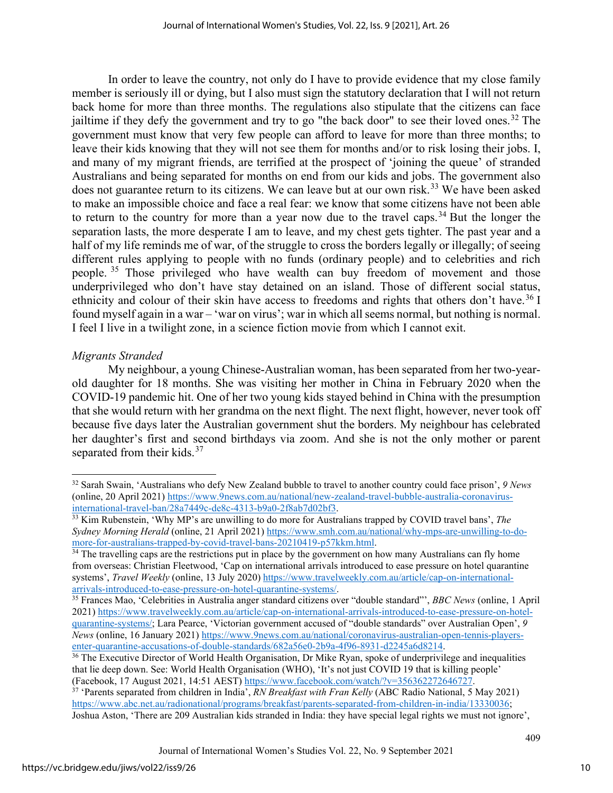In order to leave the country, not only do I have to provide evidence that my close family member is seriously ill or dying, but I also must sign the statutory declaration that I will not return back home for more than three months. The regulations also stipulate that the citizens can face jailtime if they defy the government and try to go "the back door" to see their loved ones.<sup>[32](#page-10-0)</sup> The government must know that very few people can afford to leave for more than three months; to leave their kids knowing that they will not see them for months and/or to risk losing their jobs. I, and many of my migrant friends, are terrified at the prospect of 'joining the queue' of stranded Australians and being separated for months on end from our kids and jobs. The government also does not guarantee return to its citizens. We can leave but at our own risk.<sup>[33](#page-10-1)</sup> We have been asked to make an impossible choice and face a real fear: we know that some citizens have not been able to return to the country for more than a year now due to the travel caps.<sup>[34](#page-10-2)</sup> But the longer the separation lasts, the more desperate I am to leave, and my chest gets tighter. The past year and a half of my life reminds me of war, of the struggle to cross the borders legally or illegally; of seeing different rules applying to people with no funds (ordinary people) and to celebrities and rich people.<sup>[35](#page-10-3)</sup> Those privileged who have wealth can buy freedom of movement and those underprivileged who don't have stay detained on an island. Those of different social status, ethnicity and colour of their skin have access to freedoms and rights that others don't have.<sup>[36](#page-10-4)</sup> I found myself again in a war – 'war on virus'; war in which all seems normal, but nothing is normal. I feel I live in a twilight zone, in a science fiction movie from which I cannot exit.

#### *Migrants Stranded*

My neighbour, a young Chinese-Australian woman, has been separated from her two-yearold daughter for 18 months. She was visiting her mother in China in February 2020 when the COVID-19 pandemic hit. One of her two young kids stayed behind in China with the presumption that she would return with her grandma on the next flight. The next flight, however, never took off because five days later the Australian government shut the borders. My neighbour has celebrated her daughter's first and second birthdays via zoom. And she is not the only mother or parent separated from their kids.<sup>[37](#page-10-5)</sup>

<span id="page-10-0"></span><sup>32</sup> Sarah Swain, 'Australians who defy New Zealand bubble to travel to another country could face prison', *9 News* (online, 20 April 2021) https://www.9news.com.au/national/new-zealand-travel-bubble-australia-coronavirus-<br>international-travel-ban/28a7449c-de8c-4313-b9a0-2f8ab7d02bf3.

<span id="page-10-1"></span> $\frac{33}{33}$  Kim Rubenstein, 'Why MP's are unwilling to do more for Australians trapped by COVID travel bans', *The Sydney Morning Herald* (online, 21 April 2021[\) https://www.smh.com.au/national/why-mps-are-unwilling-to-do](https://www.smh.com.au/national/why-mps-are-unwilling-to-do-more-for-australians-trapped-by-covid-travel-bans-20210419-p57kkm.html)[more-for-australians-trapped-by-covid-travel-bans-20210419-p57kkm.html.](https://www.smh.com.au/national/why-mps-are-unwilling-to-do-more-for-australians-trapped-by-covid-travel-bans-20210419-p57kkm.html)<br><sup>34</sup> The travelling caps are the restrictions put in place by the government on how many Australians can fly home

<span id="page-10-2"></span>from overseas: Christian Fleetwood, 'Cap on international arrivals introduced to ease pressure on hotel quarantine systems', *Travel Weekly* (online, 13 July 2020) https://www.travelweekly.com.au/article/cap-on-international-<br>arrivals-introduced-to-ease-pressure-on-hotel-quarantine-systems/.

<span id="page-10-3"></span><sup>&</sup>lt;sup>35</sup> Frances Mao, 'Celebrities in Australia anger standard citizens over "double standard"', *BBC News* (online, 1 April 2021) [https://www.travelweekly.com.au/article/cap-on-international-arrivals-introduced-to-ease-pressure-on-hotel](https://www.travelweekly.com.au/article/cap-on-international-arrivals-introduced-to-ease-pressure-on-hotel-quarantine-systems/)[quarantine-systems/](https://www.travelweekly.com.au/article/cap-on-international-arrivals-introduced-to-ease-pressure-on-hotel-quarantine-systems/); Lara Pearce, 'Victorian government accused of "double standards" over Australian Open', *9 News* (online, 16 January 2021) https://www.9news.com.au/national/coronavirus-australian-open-tennis-players-<br>enter-quarantine-accusations-of-double-standards/682a56e0-2b9a-4f96-8931-d2245a6d8214.

<span id="page-10-4"></span> $36$  The Executive Director of World Health Organisation, Dr Mike Ryan, spoke of underprivilege and inequalities that lie deep down. See: World Health Organisation (WHO), 'It's not just COVID 19 that is killing people'

<span id="page-10-5"></span><sup>(</sup>Facebook, 17 August 2021, 14:51 AEST) [https://www.facebook.com/watch/?v=356362272646727.](https://www.facebook.com/watch/?v=356362272646727) 37 'Parents separated from children in India', *RN Breakfast with Fran Kelly* (ABC Radio National, 5 May 2021) [https://www.abc.net.au/radionational/programs/breakfast/parents-separated-from-children-in-india/13330036;](https://www.abc.net.au/radionational/programs/breakfast/parents-separated-from-children-in-india/13330036) Joshua Aston, 'There are 209 Australian kids stranded in India: they have special legal rights we must not ignore',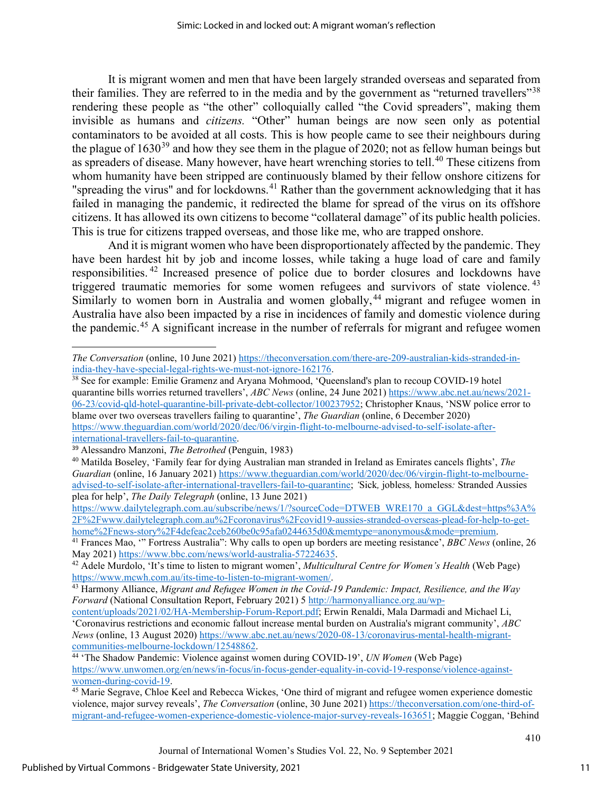It is migrant women and men that have been largely stranded overseas and separated from their families. They are referred to in the media and by the government as "returned travellers"<sup>[38](#page-11-0)</sup> rendering these people as "the other" colloquially called "the Covid spreaders", making them invisible as humans and *citizens.* "Other" human beings are now seen only as potential contaminators to be avoided at all costs. This is how people came to see their neighbours during the plague of  $1630^{39}$  $1630^{39}$  $1630^{39}$  and how they see them in the plague of 2020; not as fellow human beings but as spreaders of disease. Many however, have heart wrenching stories to tell.<sup>[40](#page-11-2)</sup> These citizens from whom humanity have been stripped are continuously blamed by their fellow onshore citizens for "spreading the virus" and for lockdowns.<sup>[41](#page-11-3)</sup> Rather than the government acknowledging that it has failed in managing the pandemic, it redirected the blame for spread of the virus on its offshore citizens. It has allowed its own citizens to become "collateral damage" of its public health policies. This is true for citizens trapped overseas, and those like me, who are trapped onshore.

And it is migrant women who have been disproportionately affected by the pandemic. They have been hardest hit by job and income losses, while taking a huge load of care and family responsibilities. [42](#page-11-4) Increased presence of police due to border closures and lockdowns have triggered traumatic memories for some women refugees and survivors of state violence.<sup>[43](#page-11-5)</sup> Similarly to women born in Australia and women globally,<sup>[44](#page-11-6)</sup> migrant and refugee women in Australia have also been impacted by a rise in incidences of family and domestic violence during the pandemic.[45](#page-11-7) A significant increase in the number of referrals for migrant and refugee women

<span id="page-11-0"></span><sup>38</sup> See for example: Emilie Gramenz and Aryana Mohmood, 'Queensland's plan to recoup COVID-19 hotel quarantine bills worries returned travellers', *ABC News* (online, 24 June 2021) [https://www.abc.net.au/news/2021-](https://www.abc.net.au/news/2021-06-23/covid-qld-hotel-quarantine-bill-private-debt-collector/100237952) [06-23/covid-qld-hotel-quarantine-bill-private-debt-collector/100237952;](https://www.abc.net.au/news/2021-06-23/covid-qld-hotel-quarantine-bill-private-debt-collector/100237952) Christopher Knaus, 'NSW police error to blame over two overseas travellers failing to quarantine', *The Guardian* (online, 6 December 2020) [https://www.theguardian.com/world/2020/dec/06/virgin-flight-to-melbourne-advised-to-self-isolate-after](https://www.theguardian.com/world/2020/dec/06/virgin-flight-to-melbourne-advised-to-self-isolate-after-international-travellers-fail-to-quarantine)[international-travellers-fail-to-quarantine.](https://www.theguardian.com/world/2020/dec/06/virgin-flight-to-melbourne-advised-to-self-isolate-after-international-travellers-fail-to-quarantine) 

[https://www.dailytelegraph.com.au/subscribe/news/1/?sourceCode=DTWEB\\_WR](https://www.dailytelegraph.com.au/subscribe/news/1/?sourceCode=DTWEB_WRE170_a_GGL&dest=https%3A%2F%2Fwww.dailytelegraph.com.au%2Fcoronavirus%2Fcovid19-aussies-stranded-overseas-plead-for-help-to-get-home%2Fnews-story%2F4defeac2ceb260be0c95afa0244635d0&memtype=anonymous&mode=premium)E170\_a\_GGL&dest=https%3A% [2F%2Fwww.dailytelegraph.com.au%2Fcoronavirus%2Fcovid19-aussies-stranded-overseas-plead-for-help-to-get-](https://www.dailytelegraph.com.au/subscribe/news/1/?sourceCode=DTWEB_WRE170_a_GGL&dest=https%3A%2F%2Fwww.dailytelegraph.com.au%2Fcoronavirus%2Fcovid19-aussies-stranded-overseas-plead-for-help-to-get-home%2Fnews-story%2F4defeac2ceb260be0c95afa0244635d0&memtype=anonymous&mode=premium)

<span id="page-11-3"></span><sup>41</sup> Frances Mao, '" Fortress Australia": Why calls to open up borders are meeting resistance', *BBC News* (online, 26 May 2021) https://www[.](https://www.dailytelegraph.com.au/subscribe/news/1/?sourceCode=DTWEB_WRE170_a_GGL&dest=https%3A%2F%2Fwww.dailytelegraph.com.au%2Fcoronavirus%2Fcovid19-aussies-stranded-overseas-plead-for-help-to-get-home%2Fnews-story%2F4defeac2ceb260be0c95afa0244635d0&memtype=anonymous&mode=premium)bbc.com/news/world-australia-57224635.

*The Conversation* (online, 10 June 2021) https://theconversation.com/there-are-209-australian-kids-stranded-in-<br>india-they-have-special-legal-rights-we-must-not-ignore-162176.

<span id="page-11-1"></span><sup>39</sup> Alessandro Manzoni, *The Betrothed* (Penguin, 1983)

<span id="page-11-2"></span><sup>40</sup> Matilda Boseley, 'Family fear for dying Australian man stranded in Ireland as Emirates cancels flights', *The Guardian* (online, 16 January 2021[\) https://www.theguardian.com/world/2020/dec/06/virgin-flight-to-melbourne](https://www.theguardian.com/world/2020/dec/06/virgin-flight-to-melbourne-advised-to-self-isolate-after-international-travellers-fail-to-quarantine)[advised-to-self-isolate-after-international-travellers-fail-to-quarantine;](https://www.theguardian.com/world/2020/dec/06/virgin-flight-to-melbourne-advised-to-self-isolate-after-international-travellers-fail-to-quarantine) *'*Sick*,* jobless*,* homeless*:* Stranded Aussies plea for help', *The Daily Telegraph* (online, 13 June 2021)

<span id="page-11-4"></span><sup>&</sup>lt;sup>42</sup> Adele Murdolo, 'It's time to listen to migrant women', *Multicultural Centre for Women's Health* (Web Page) [https://www.mcwh.com.au/its-time-to-listen-to-migrant-women/.](https://www.mcwh.com.au/its-time-to-listen-to-migrant-women/) 43 Harmony Alliance, *Migrant and Refugee Women in the Covid-19 Pandemic: Impact, Resilience, and the Way* 

<span id="page-11-5"></span>*Forward* (National Consultation Report, February 2021) 5 [http://harmonyalliance.org.au/wp-](http://harmonyalliance.org.au/wp-content/uploads/2021/02/HA-Membership-Forum-Report.pdf)

[content/uploads/2021/02/HA-Membership-Forum-Report.pdf](http://harmonyalliance.org.au/wp-content/uploads/2021/02/HA-Membership-Forum-Report.pdf); Erwin Renaldi, Mala Darmadi and Michael Li, 'Coronavirus restrictions and economic fallout increase mental burden on Australia's migrant community', *ABC News* (online, 13 August 2020) [https://www.abc.net.au/news/2020-08-13/coronavirus-mental-health-migrant](https://www.abc.net.au/news/2020-08-13/coronavirus-mental-health-migrant-communities-melbourne-lockdown/12548862)[communities-melbourne-lockdown/12548862.](https://www.abc.net.au/news/2020-08-13/coronavirus-mental-health-migrant-communities-melbourne-lockdown/12548862) 44 'The Shadow Pandemic: Violence against women during COVID-19', *UN Women* (Web Page)

<span id="page-11-6"></span>[https://www.unwomen.org/en/news/in-focus/in-focus-gender-equality-in-covid-19-response/violence-against](https://www.unwomen.org/en/news/in-focus/in-focus-gender-equality-in-covid-19-response/violence-against-women-during-covid-19)[women-during-covid-19.](https://www.unwomen.org/en/news/in-focus/in-focus-gender-equality-in-covid-19-response/violence-against-women-during-covid-19) 45 Marie Segrave, Chloe Keel and Rebecca Wickes, 'One third of migrant and refugee women experience domestic

<span id="page-11-7"></span>violence, major survey reveals', *The Conversation* (online, 30 June 2021) [https://theconversation.com/one-third-of](https://theconversation.com/one-third-of-migrant-and-refugee-women-experience-domestic-violence-major-survey-reveals-163651)[migrant-and-refugee-women-experience-domestic-violence-major-survey-reveals-163651;](https://theconversation.com/one-third-of-migrant-and-refugee-women-experience-domestic-violence-major-survey-reveals-163651) Maggie Coggan, 'Behind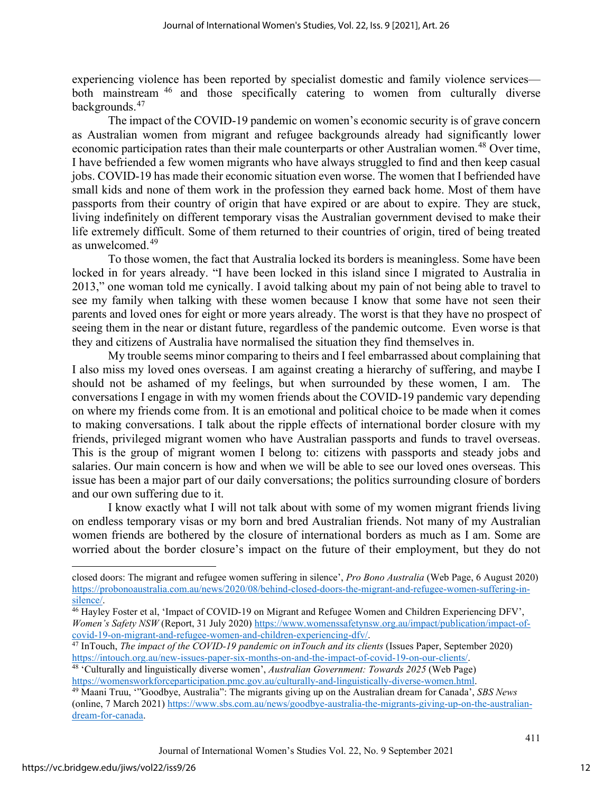experiencing violence has been reported by specialist domestic and family violence services— both mainstream <sup>[46](#page-12-0)</sup> and those specifically catering to women from culturally diverse backgrounds.[47](#page-12-1)

The impact of the COVID-19 pandemic on women's economic security is of grave concern as Australian women from migrant and refugee backgrounds already had significantly lower economic participation rates than their male counterparts or other Australian women.<sup>[48](#page-12-2)</sup> Over time, I have befriended a few women migrants who have always struggled to find and then keep casual jobs. COVID-19 has made their economic situation even worse. The women that I befriended have small kids and none of them work in the profession they earned back home. Most of them have passports from their country of origin that have expired or are about to expire. They are stuck, living indefinitely on different temporary visas the Australian government devised to make their life extremely difficult. Some of them returned to their countries of origin, tired of being treated as unwelcomed. [49](#page-12-3)

To those women, the fact that Australia locked its borders is meaningless. Some have been locked in for years already. "I have been locked in this island since I migrated to Australia in 2013," one woman told me cynically. I avoid talking about my pain of not being able to travel to see my family when talking with these women because I know that some have not seen their parents and loved ones for eight or more years already. The worst is that they have no prospect of seeing them in the near or distant future, regardless of the pandemic outcome. Even worse is that they and citizens of Australia have normalised the situation they find themselves in.

My trouble seems minor comparing to theirs and I feel embarrassed about complaining that I also miss my loved ones overseas. I am against creating a hierarchy of suffering, and maybe I should not be ashamed of my feelings, but when surrounded by these women, I am. The conversations I engage in with my women friends about the COVID-19 pandemic vary depending on where my friends come from. It is an emotional and political choice to be made when it comes to making conversations. I talk about the ripple effects of international border closure with my friends, privileged migrant women who have Australian passports and funds to travel overseas. This is the group of migrant women I belong to: citizens with passports and steady jobs and salaries. Our main concern is how and when we will be able to see our loved ones overseas. This issue has been a major part of our daily conversations; the politics surrounding closure of borders and our own suffering due to it.

I know exactly what I will not talk about with some of my women migrant friends living on endless temporary visas or my born and bred Australian friends. Not many of my Australian women friends are bothered by the closure of international borders as much as I am. Some are worried about the border closure's impact on the future of their employment, but they do not

closed doors: The migrant and refugee women suffering in silence', *Pro Bono Australia* (Web Page, 6 August 2020) [https://probonoaustralia.com.au/news/2020/08/behind-closed-doors-the-migrant-and-refugee-women-suffering-in-](https://probonoaustralia.com.au/news/2020/08/behind-closed-doors-the-migrant-and-refugee-women-suffering-in-silence/)

<span id="page-12-0"></span><sup>&</sup>lt;sup>46</sup> Hayley Foster et al, 'Impact of COVID-19 on Migrant and Refugee Women and Children Experiencing DFV', *Women's Safety NSW* (Report, 31 July 2020) [https://www.womenssafetynsw.org.au/impact/publication/impact-of-](https://www.womenssafetynsw.org.au/impact/publication/impact-of-covid-19-on-migrant-and-refugee-women-and-children-experiencing-dfv/)

<span id="page-12-1"></span>[covid-19-on-migrant-and-refugee-women-and-children-experiencing-dfv/.](https://www.womenssafetynsw.org.au/impact/publication/impact-of-covid-19-on-migrant-and-refugee-women-and-children-experiencing-dfv/)<br><sup>47</sup> InTouch, *The impact of the COVID-19 pandemic on inTouch and its clients* (Issues Paper, September 2020)<br>https://intouch.org.au/new-issues-paper-si

<span id="page-12-2"></span><sup>&</sup>lt;sup>48</sup> 'Culturally and linguistically diverse women', *Australian Government: Towards 2025* (Web Page) [https://womensworkforceparticipation.pmc.gov.au/culturally-and-linguistically-diverse-women.html.](https://womensworkforceparticipation.pmc.gov.au/culturally-and-linguistically-diverse-women.html) 49 Maani Truu, '"Goodbye, Australia": The migrants giving up on the Australian dream for Canada', *SBS News* 

<span id="page-12-3"></span><sup>(</sup>online, 7 March 2021) [https://www.sbs.com.au/news/goodbye-australia-the-migrants-giving-up-on-the-australian](https://www.sbs.com.au/news/goodbye-australia-the-migrants-giving-up-on-the-australian-dream-for-canada)[dream-for-canada.](https://www.sbs.com.au/news/goodbye-australia-the-migrants-giving-up-on-the-australian-dream-for-canada)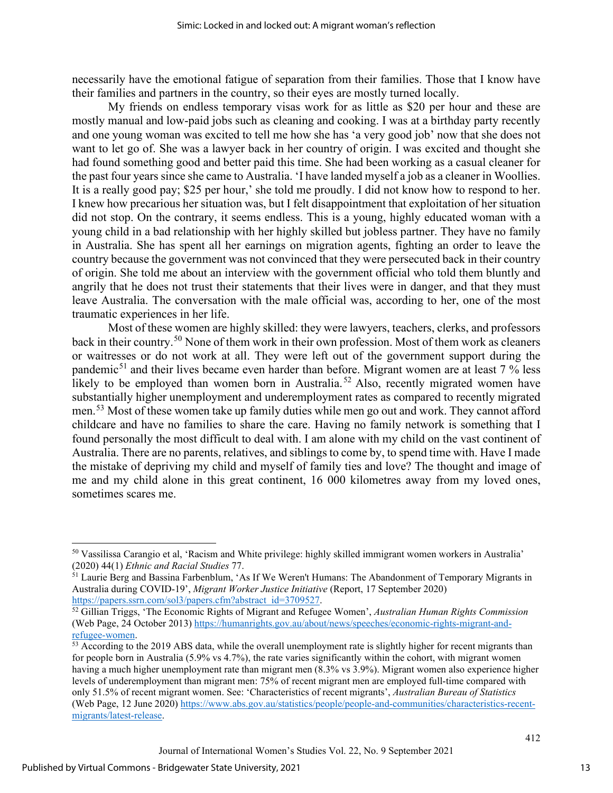necessarily have the emotional fatigue of separation from their families. Those that I know have their families and partners in the country, so their eyes are mostly turned locally.

My friends on endless temporary visas work for as little as \$20 per hour and these are mostly manual and low-paid jobs such as cleaning and cooking. I was at a birthday party recently and one young woman was excited to tell me how she has 'a very good job' now that she does not want to let go of. She was a lawyer back in her country of origin. I was excited and thought she had found something good and better paid this time. She had been working as a casual cleaner for the past four years since she came to Australia. 'I have landed myself a job as a cleaner in Woollies. It is a really good pay; \$25 per hour,' she told me proudly. I did not know how to respond to her. I knew how precarious her situation was, but I felt disappointment that exploitation of her situation did not stop. On the contrary, it seems endless. This is a young, highly educated woman with a young child in a bad relationship with her highly skilled but jobless partner. They have no family in Australia. She has spent all her earnings on migration agents, fighting an order to leave the country because the government was not convinced that they were persecuted back in their country of origin. She told me about an interview with the government official who told them bluntly and angrily that he does not trust their statements that their lives were in danger, and that they must leave Australia. The conversation with the male official was, according to her, one of the most traumatic experiences in her life.

Most of these women are highly skilled: they were lawyers, teachers, clerks, and professors back in their country.[50](#page-13-0) None of them work in their own profession. Most of them work as cleaners or waitresses or do not work at all. They were left out of the government support during the pandemic<sup>[51](#page-13-1)</sup> and their lives became even harder than before. Migrant women are at least  $7\%$  less likely to be employed than women born in Australia.<sup>[52](#page-13-2)</sup> Also, recently migrated women have substantially higher unemployment and underemployment rates as compared to recently migrated men.<sup>[53](#page-13-3)</sup> Most of these women take up family duties while men go out and work. They cannot afford childcare and have no families to share the care. Having no family network is something that I found personally the most difficult to deal with. I am alone with my child on the vast continent of Australia. There are no parents, relatives, and siblings to come by, to spend time with. Have I made the mistake of depriving my child and myself of family ties and love? The thought and image of me and my child alone in this great continent, 16 000 kilometres away from my loved ones, sometimes scares me.

<span id="page-13-0"></span><sup>50</sup> Vassilissa Carangio et al, 'Racism and White privilege: highly skilled immigrant women workers in Australia' (2020) 44(1) *Ethnic and Racial Studies* 77. 51 Laurie Berg and Bassina Farbenblum, 'As If We Weren't Humans: The Abandonment of Temporary Migrants in

<span id="page-13-1"></span>Australia during COVID-19', *Migrant Worker Justice Initiative* (Report, 17 September 2020)

<span id="page-13-2"></span>[https://papers.ssrn.com/sol3/papers.cfm?abstract\\_id=3709527.](https://papers.ssrn.com/sol3/papers.cfm?abstract_id=3709527) 52 Gillian Triggs, 'The Economic Rights of Migrant and Refugee Women', *Australian Human Rights Commission*  (Web Page, 24 October 2013) [https://humanrights.gov.au/about/news/speeches/economic-rights-migrant-and-](https://humanrights.gov.au/about/news/speeches/economic-rights-migrant-and-refugee-women)

<span id="page-13-3"></span> $53$  According to the 2019 ABS data, while the overall unemployment rate is slightly higher for recent migrants than for people born in Australia (5.9% vs 4.7%), the rate varies significantly within the cohort, with migrant women having a much higher unemployment rate than migrant men (8.3% vs 3.9%). Migrant women also experience higher levels of underemployment than migrant men: 75% of recent migrant men are employed full-time compared with only 51.5% of recent migrant women. See: 'Characteristics of recent migrants', *Australian Bureau of Statistics*  (Web Page, 12 June 2020) [https://www.abs.gov.au/statistics/people/people-and-communities/characteristics-recent](https://www.abs.gov.au/statistics/people/people-and-communities/characteristics-recent-migrants/latest-release)[migrants/latest-release.](https://www.abs.gov.au/statistics/people/people-and-communities/characteristics-recent-migrants/latest-release)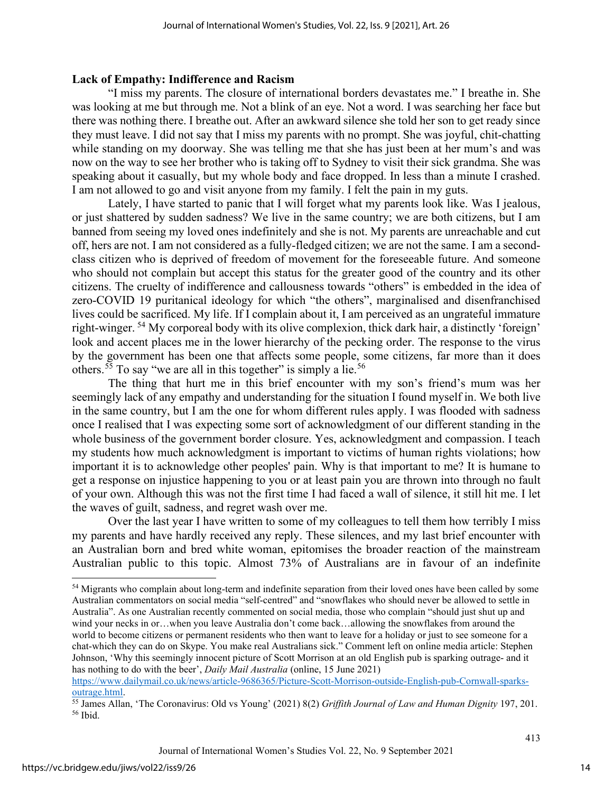#### **Lack of Empathy: Indifference and Racism**

"I miss my parents. The closure of international borders devastates me." I breathe in. She was looking at me but through me. Not a blink of an eye. Not a word. I was searching her face but there was nothing there. I breathe out. After an awkward silence she told her son to get ready since they must leave. I did not say that I miss my parents with no prompt. She was joyful, chit-chatting while standing on my doorway. She was telling me that she has just been at her mum's and was now on the way to see her brother who is taking off to Sydney to visit their sick grandma. She was speaking about it casually, but my whole body and face dropped. In less than a minute I crashed. I am not allowed to go and visit anyone from my family. I felt the pain in my guts.

Lately, I have started to panic that I will forget what my parents look like. Was I jealous, or just shattered by sudden sadness? We live in the same country; we are both citizens, but I am banned from seeing my loved ones indefinitely and she is not. My parents are unreachable and cut off, hers are not. I am not considered as a fully-fledged citizen; we are not the same. I am a secondclass citizen who is deprived of freedom of movement for the foreseeable future. And someone who should not complain but accept this status for the greater good of the country and its other citizens. The cruelty of indifference and callousness towards "others" is embedded in the idea of zero-COVID 19 puritanical ideology for which "the others", marginalised and disenfranchised lives could be sacrificed. My life. If I complain about it, I am perceived as an ungrateful immature right-winger. [54](#page-14-0) My corporeal body with its olive complexion, thick dark hair, a distinctly 'foreign' look and accent places me in the lower hierarchy of the pecking order. The response to the virus by the government has been one that affects some people, some citizens, far more than it does others.<sup>[55](#page-14-1)</sup> To say "we are all in this together" is simply a lie.<sup>[56](#page-14-2)</sup>

The thing that hurt me in this brief encounter with my son's friend's mum was her seemingly lack of any empathy and understanding for the situation I found myself in. We both live in the same country, but I am the one for whom different rules apply. I was flooded with sadness once I realised that I was expecting some sort of acknowledgment of our different standing in the whole business of the government border closure. Yes, acknowledgment and compassion. I teach my students how much acknowledgment is important to victims of human rights violations; how important it is to acknowledge other peoples' pain. Why is that important to me? It is humane to get a response on injustice happening to you or at least pain you are thrown into through no fault of your own. Although this was not the first time I had faced a wall of silence, it still hit me. I let the waves of guilt, sadness, and regret wash over me.

Over the last year I have written to some of my colleagues to tell them how terribly I miss my parents and have hardly received any reply. These silences, and my last brief encounter with an Australian born and bred white woman, epitomises the broader reaction of the mainstream Australian public to this topic. Almost 73% of Australians are in favour of an indefinite

<span id="page-14-0"></span><sup>&</sup>lt;sup>54</sup> Migrants who complain about long-term and indefinite separation from their loved ones have been called by some Australian commentators on social media "self-centred" and "snowflakes who should never be allowed to settle in Australia". As one Australian recently commented on social media, those who complain "should just shut up and wind your necks in or…when you leave Australia don't come back…allowing the snowflakes from around the world to become citizens or permanent residents who then want to leave for a holiday or just to see someone for a chat-which they can do on Skype. You make real Australians sick." Comment left on online media article: Stephen Johnson, 'Why this seemingly innocent picture of Scott Morrison at an old English pub is sparking outrage- and it has nothing to do with the beer', *Daily Mail Australia* (online, 15 June 2021)

https://www.dailymail.co.uk/news/article-9686365/Picture[-Scott-Morrison-outside-English-pub-Cornwall-sparks](https://www.dailymail.co.uk/news/article-9686365/Picture-Scott-Morrison-outside-English-pub-Cornwall-sparks-outrage.html)[outrage.html.](https://www.dailymail.co.uk/news/article-9686365/Picture-Scott-Morrison-outside-English-pub-Cornwall-sparks-outrage.html) 55 James Allan, 'The Coronavirus: Old vs Young' (2021) 8(2) *Griffith Journal of Law and Human Dignity* 197, 201.

<span id="page-14-2"></span><span id="page-14-1"></span><sup>56</sup> Ibid.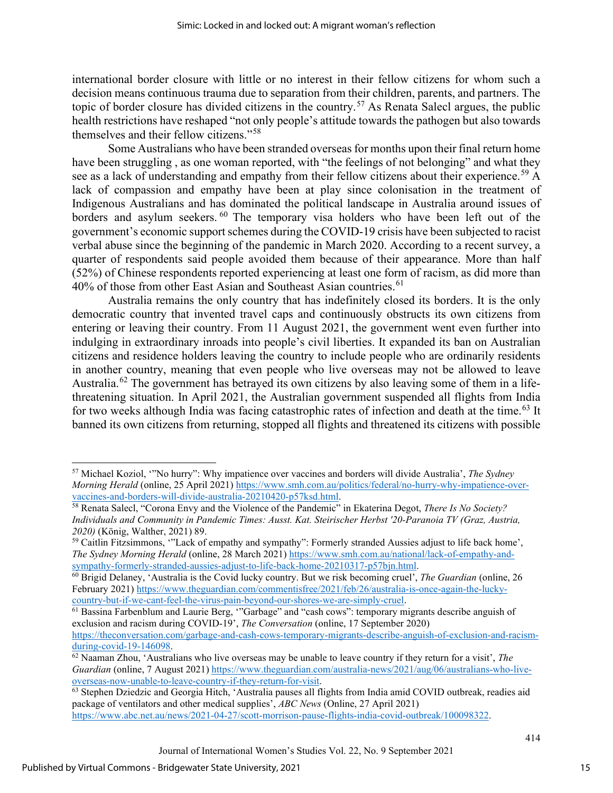international border closure with little or no interest in their fellow citizens for whom such a decision means continuous trauma due to separation from their children, parents, and partners. The topic of border closure has divided citizens in the country.<sup>[57](#page-15-0)</sup> As Renata Salecl argues, the public health restrictions have reshaped "not only people's attitude towards the pathogen but also towards themselves and their fellow citizens."[58](#page-15-1) 

Some Australians who have been stranded overseas for months upon their final return home have been struggling, as one woman reported, with "the feelings of not belonging" and what they see as a lack of understanding and empathy from their fellow citizens about their experience.<sup>[59](#page-15-2)</sup> A lack of compassion and empathy have been at play since colonisation in the treatment of Indigenous Australians and has dominated the political landscape in Australia around issues of borders and asylum seekers. <sup>[60](#page-15-3)</sup> The temporary visa holders who have been left out of the government's economic support schemes during the COVID-19 crisis have been subjected to racist verbal abuse since the beginning of the pandemic in March 2020. According to a recent survey, a quarter of respondents said people avoided them because of their appearance. More than half (52%) of Chinese respondents reported experiencing at least one form of racism, as did more than 40% of those from other East Asian and Southeast Asian countries.<sup>[61](#page-15-4)</sup>

Australia remains the only country that has indefinitely closed its borders. It is the only democratic country that invented travel caps and continuously obstructs its own citizens from entering or leaving their country. From 11 August 2021, the government went even further into indulging in extraordinary inroads into people's civil liberties. It expanded its ban on Australian citizens and residence holders leaving the country to include people who are ordinarily residents in another country, meaning that even people who live overseas may not be allowed to leave Australia.<sup>[62](#page-15-5)</sup> The government has betrayed its own citizens by also leaving some of them in a lifethreatening situation. In April 2021, the Australian government suspended all flights from India for two weeks although India was facing catastrophic rates of infection and death at the time.<sup>[63](#page-15-6)</sup> It banned its own citizens from returning, stopped all flights and threatened its citizens with possible

<span id="page-15-0"></span><sup>57</sup> Michael Koziol, '"No hurry": Why impatience over vaccines and borders will divide Australia', *The Sydney Morning Herald* (online, 25 April 2021) https://www.smh.com.au/politics/federal/no-hurry-why-impatience-over-<br>vaccines-and-borders-will-divide-australia-20210420-p57ksd.html.

<span id="page-15-1"></span><sup>&</sup>lt;sup>58</sup> Renata Salecl, "Corona Envy and the Violence of the Pandemic" in Ekaterina Degot, *There Is No Society? Individuals and Community in Pandemic Times: Ausst. Kat. Steirischer Herbst '20-Paranoia TV (Graz, Austria, 2020)* (König, Walther, 2021) 89.<br><sup>59</sup> Caitlin Fitzsimmons, ''Lack of empathy and sympathy'': Formerly stranded Aussies adjust to life back home',

<span id="page-15-2"></span>*The Sydney Morning Herald* (online, 28 March 2021) [https://www.smh.com.au/national/lack-of-empathy-and](https://www.smh.com.au/national/lack-of-empathy-and-sympathy-formerly-stranded-aussies-adjust-to-life-back-home-20210317-p57bjn.html)[sympathy-formerly-stranded-aussies-adjust-to-life-back-home-20210317-p57bjn.html.](https://www.smh.com.au/national/lack-of-empathy-and-sympathy-formerly-stranded-aussies-adjust-to-life-back-home-20210317-p57bjn.html) 60 Brigid Delaney, 'Australia is the Covid lucky country. But we risk becoming cruel', *The Guardian* (online, 26

<span id="page-15-3"></span>February 2021) https://www.theguardian.com/commentisfree/2021/feb/26/australia-is-once-again-the-lucky-<br>country-but-if-we-cant-feel-the-virus-pain-beyond-our-shores-we-are-simply-cruel. [country-but-if-we-cant-feel-the-virus-pain-beyond-our-shores-we-are-simply-cruel.](https://www.theguardian.com/commentisfree/2021/feb/26/australia-is-once-again-the-lucky-country-but-if-we-cant-feel-the-virus-pain-beyond-our-shores-we-are-simply-cruel) 61 Bassina Farbenblum and Laurie Berg, '"Garbage" and "cash cows": temporary migrants describe anguish of

<span id="page-15-4"></span>exclusion and racism during COVID-19', *The Conversation* (online, 17 September 2020) [https://theconversation.com/garbage-and-cash-cows-temporary-migrants-describe-anguish-of-exclusion-and-racism-](https://theconversation.com/garbage-and-cash-cows-temporary-migrants-describe-anguish-of-exclusion-and-racism-during-covid-19-146098)

<span id="page-15-5"></span>[during-covid-19-146098.](https://theconversation.com/garbage-and-cash-cows-temporary-migrants-describe-anguish-of-exclusion-and-racism-during-covid-19-146098) 62 Naaman Zhou, 'Australians who live overseas may be unable to leave country if they return for a visit', *The Guardian* (online, 7 August 2021) [https://www.theguardian.com/australia-news/2021/aug/06/australians-who-live](https://www.theguardian.com/australia-news/2021/aug/06/australians-who-live-overseas-now-unable-to-leave-country-if-they-return-for-visit)[overseas-now-unable-to-leave-country-if-they-return-for-visit.](https://www.theguardian.com/australia-news/2021/aug/06/australians-who-live-overseas-now-unable-to-leave-country-if-they-return-for-visit) 63 Stephen Dziedzic and Georgia Hitch, 'Australia pauses all flights from India amid COVID outbreak, readies aid

<span id="page-15-6"></span>package of ventilators and other medical supplies', *ABC News* (Online, 27 April 2021) [https://www.abc.net.au/news/2021-04-27/scott-morrison-pause-flights-india-covid-outbreak/100098322.](https://www.abc.net.au/news/2021-04-27/scott-morrison-pause-flights-india-covid-outbreak/100098322)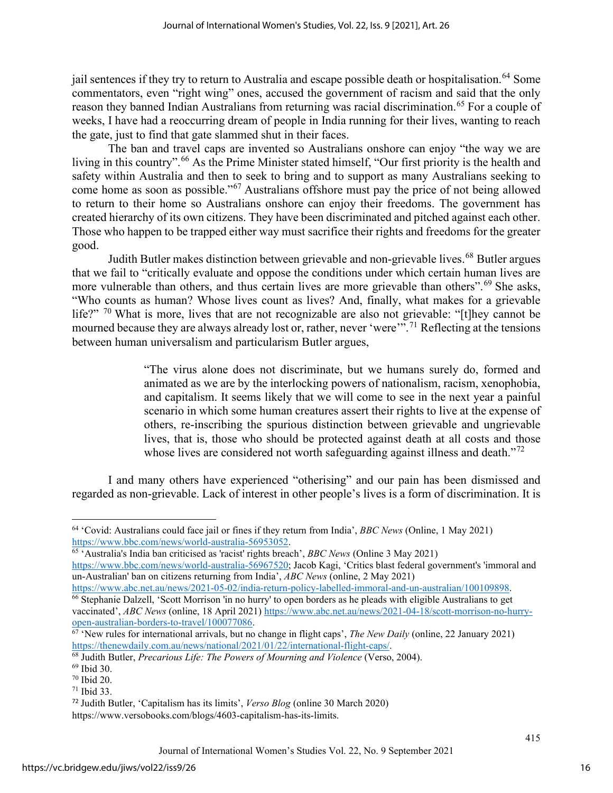jail sentences if they try to return to Australia and escape possible death or hospitalisation.<sup>[64](#page-16-0)</sup> Some commentators, even "right wing" ones, accused the government of racism and said that the only reason they banned Indian Australians from returning was racial discrimination.<sup>[65](#page-16-1)</sup> For a couple of weeks, I have had a reoccurring dream of people in India running for their lives, wanting to reach the gate, just to find that gate slammed shut in their faces.

The ban and travel caps are invented so Australians onshore can enjoy "the way we are living in this country".<sup>[66](#page-16-2)</sup> As the Prime Minister stated himself, "Our first priority is the health and safety within Australia and then to seek to bring and to support as many Australians seeking to come home as soon as possible."[67](#page-16-3) Australians offshore must pay the price of not being allowed to return to their home so Australians onshore can enjoy their freedoms. The government has created hierarchy of its own citizens. They have been discriminated and pitched against each other. Those who happen to be trapped either way must sacrifice their rights and freedoms for the greater good.

Judith Butler makes distinction between grievable and non-grievable lives.<sup>[68](#page-16-4)</sup> Butler argues that we fail to "critically evaluate and oppose the conditions under which certain human lives are more vulnerable than others, and thus certain lives are more grievable than others".<sup>[69](#page-16-5)</sup> She asks, "Who counts as human? Whose lives count as lives? And, finally, what makes for a grievable life?" <sup>[70](#page-16-6)</sup> What is more, lives that are not recognizable are also not grievable: "[t]hey cannot be mourned because they are always already lost or, rather, never 'were'"<sup>[71](#page-16-7)</sup> Reflecting at the tensions between human universalism and particularism Butler argues,

> "The virus alone does not discriminate, but we humans surely do, formed and animated as we are by the interlocking powers of nationalism, racism, xenophobia, and capitalism. It seems likely that we will come to see in the next year a painful scenario in which some human creatures assert their rights to live at the expense of others, re-inscribing the spurious distinction between grievable and ungrievable lives, that is, those who should be protected against death at all costs and those whose lives are considered not worth safeguarding against illness and death."<sup>[72](#page-16-8)</sup>

I and many others have experienced "otherising" and our pain has been dismissed and regarded as non-grievable. Lack of interest in other people's lives is a form of discrimination. It is

<span id="page-16-0"></span><sup>64</sup> 'Covid: Australians could face jail or fines if they return from India', *BBC News* (Online, 1 May 2021) [https://www.bbc.com/news/world-australia-56953052.](https://www.bbc.com/news/world-australia-56953052) 65 'Australia's India ban criticised as 'racist' rights breach', *BBC News* (Online 3 May 2021)

<span id="page-16-1"></span>[https://www.bbc.com/news/world-australia-56967520;](https://www.bbc.com/news/world-australia-56967520) Jacob Kagi, 'Critics blast federal government's 'immoral and un-Australian' ban on citizens returning from India', *ABC News* (online, 2 May 2021)

<span id="page-16-2"></span>[https://www.abc.net.au/news/2021-05-02/india-return-policy-labelled-immoral-and-un-australian/100109898.](https://www.abc.net.au/news/2021-05-02/india-return-policy-labelled-immoral-and-un-australian/100109898) 66 Stephanie Dalzell, 'Scott Morrison 'in no hurry' to open borders as he pleads with eligible Australians to get

vaccinated', *ABC News* (online, 18 April 2021) https://www.abc.net.au/news/2021-04-18/scott-morrison-no-hurry-<br>open-australian-borders-to-travel/100077086.

<span id="page-16-3"></span> $\overrightarrow{67}$  'New rules for international arrivals, but no change in flight caps', *The New Daily* (online, 22 January 2021) https://thenewdaily.com.au/news/national/2021/01/22/international-flight-caps/.

<span id="page-16-4"></span><sup>&</sup>lt;sup>68</sup> Judith Butler, *Precarious Life: The Powers of Mourning and Violence* (Verso, 2004).<br><sup>69</sup> Ibid 30. 70 Ibid 20. 71 Ibid 33.

<span id="page-16-5"></span>

<span id="page-16-6"></span>

<span id="page-16-7"></span>

<span id="page-16-8"></span><sup>72</sup> Judith Butler, 'Capitalism has its limits', *Verso Blog* (online 30 March 2020) https://www.versobooks.com/blogs/4603-capitalism-has-its-limits.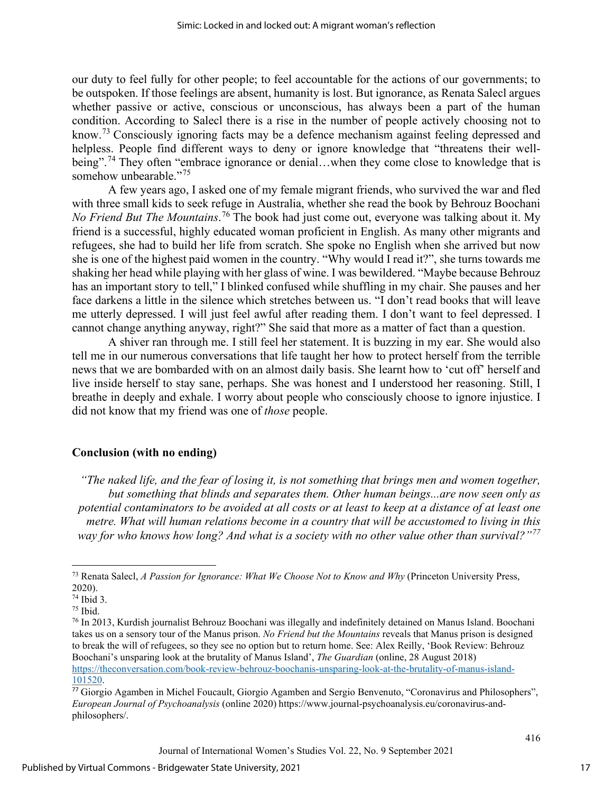our duty to feel fully for other people; to feel accountable for the actions of our governments; to be outspoken. If those feelings are absent, humanity is lost. But ignorance, as Renata Salecl argues whether passive or active, conscious or unconscious, has always been a part of the human condition. According to Salecl there is a rise in the number of people actively choosing not to know.[73](#page-17-0) Consciously ignoring facts may be a defence mechanism against feeling depressed and helpless. People find different ways to deny or ignore knowledge that "threatens their well-being".<sup>[74](#page-17-1)</sup> They often "embrace ignorance or denial...when they come close to knowledge that is somehow unbearable."<sup>[75](#page-17-2)</sup>

A few years ago, I asked one of my female migrant friends, who survived the war and fled with three small kids to seek refuge in Australia, whether she read the book by Behrouz Boochani *No Friend But The Mountains*. [76](#page-17-3) The book had just come out, everyone was talking about it. My friend is a successful, highly educated woman proficient in English. As many other migrants and refugees, she had to build her life from scratch. She spoke no English when she arrived but now she is one of the highest paid women in the country. "Why would I read it?", she turns towards me shaking her head while playing with her glass of wine. I was bewildered. "Maybe because Behrouz has an important story to tell," I blinked confused while shuffling in my chair. She pauses and her face darkens a little in the silence which stretches between us. "I don't read books that will leave me utterly depressed. I will just feel awful after reading them. I don't want to feel depressed. I cannot change anything anyway, right?" She said that more as a matter of fact than a question.

A shiver ran through me. I still feel her statement. It is buzzing in my ear. She would also tell me in our numerous conversations that life taught her how to protect herself from the terrible news that we are bombarded with on an almost daily basis. She learnt how to 'cut off' herself and live inside herself to stay sane, perhaps. She was honest and I understood her reasoning. Still, I breathe in deeply and exhale. I worry about people who consciously choose to ignore injustice. I did not know that my friend was one of *those* people.

#### **Conclusion (with no ending)**

*"The naked life, and the fear of losing it, is not something that brings men and women together, but something that blinds and separates them. Other human beings...are now seen only as potential contaminators to be avoided at all costs or at least to keep at a distance of at least one metre. What will human relations become in a country that will be accustomed to living in this way for who knows how long? And what is a society with no other value other than survival?"[77](#page-17-4)*

<span id="page-17-0"></span><sup>73</sup> Renata Salecl, *A Passion for Ignorance: What We Choose Not to Know and Why* (Princeton University Press,  $2020$ ).<br><sup>74</sup> Ibid 3.

<span id="page-17-3"></span><span id="page-17-2"></span><span id="page-17-1"></span><sup>&</sup>lt;sup>75</sup> Ibid.<br><sup>76</sup> In 2013, Kurdish journalist Behrouz Boochani was illegally and indefinitely detained on Manus Island. Boochani takes us on a sensory tour of the Manus prison. *No Friend but the Mountains* reveals that Manus prison is designed to break the will of refugees, so they see no option but to return home. See: Alex Reilly, 'Book Review: Behrouz Boochani's unsparing look at the brutality of Manus Island', *The Guardian* (online, 28 August 2018) [https://theconversation.com/book-review-behrouz-boochanis-unsparing-look-at-the-brutality-of-manus-island-](https://theconversation.com/book-review-behrouz-boochanis-unsparing-look-at-the-brutality-of-manus-island-101520)[101520.](https://theconversation.com/book-review-behrouz-boochanis-unsparing-look-at-the-brutality-of-manus-island-101520)

<span id="page-17-4"></span><sup>77</sup> Giorgio Agamben in Michel Foucault, Giorgio Agamben and Sergio Benvenuto, "Coronavirus and Philosophers", *European Journal of Psychoanalysis* (online 2020) https://www.journal-psychoanalysis.eu/coronavirus-andphilosophers/.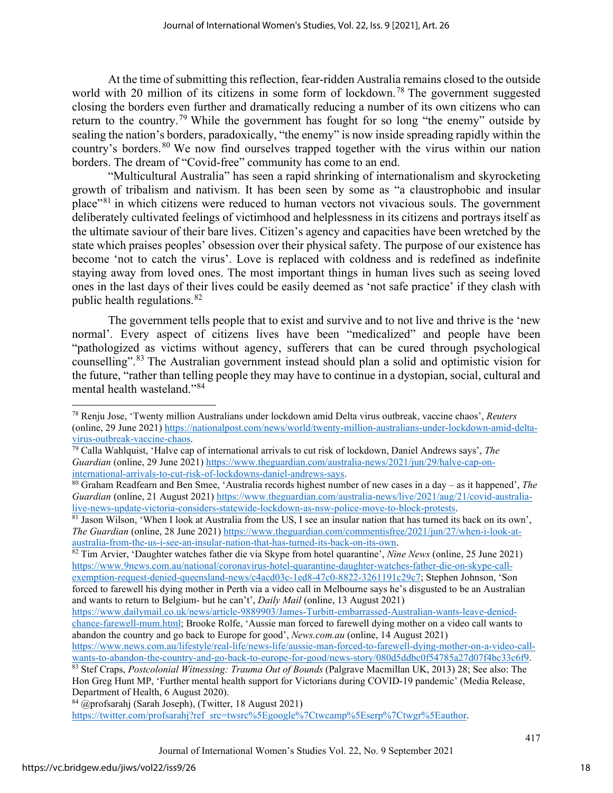At the time of submitting this reflection, fear-ridden Australia remains closed to the outside world with 20 million of its citizens in some form of lockdown.<sup>[78](#page-18-0)</sup> The government suggested closing the borders even further and dramatically reducing a number of its own citizens who can return to the country.<sup>[79](#page-18-1)</sup> While the government has fought for so long "the enemy" outside by sealing the nation's borders, paradoxically, "the enemy" is now inside spreading rapidly within the country's borders.<sup>[80](#page-18-2)</sup> We now find ourselves trapped together with the virus within our nation borders. The dream of "Covid-free" community has come to an end.

"Multicultural Australia" has seen a rapid shrinking of internationalism and skyrocketing growth of tribalism and nativism. It has been seen by some as "a claustrophobic and insular place"[81](#page-18-3) in which citizens were reduced to human vectors not vivacious souls. The government deliberately cultivated feelings of victimhood and helplessness in its citizens and portrays itself as the ultimate saviour of their bare lives. Citizen's agency and capacities have been wretched by the state which praises peoples' obsession over their physical safety. The purpose of our existence has become 'not to catch the virus'. Love is replaced with coldness and is redefined as indefinite staying away from loved ones. The most important things in human lives such as seeing loved ones in the last days of their lives could be easily deemed as 'not safe practice' if they clash with public health regulations.  $82$ 

The government tells people that to exist and survive and to not live and thrive is the 'new normal'. Every aspect of citizens lives have been "medicalized" and people have been "pathologized as victims without agency, sufferers that can be cured through psychological counselling".[83](#page-18-5) The Australian government instead should plan a solid and optimistic vision for the future, "rather than telling people they may have to continue in a dystopian, social, cultural and mental health wasteland."[84](#page-18-6) 

<span id="page-18-4"></span>[https://www.9news.com.au/national/coronavirus-hotel-quarantine-daughter-watches-father-die-on-skype-call](https://www.9news.com.au/national/coronavirus-hotel-quarantine-daughter-watches-father-die-on-skype-call-exemption-request-denied-queensland-news/c4acd03c-1ed8-47c0-8822-3261191c29c7)[exemption-request-denied-queensland-news/c4acd03c-1ed8-47c0-8822-3261191c29c7;](https://www.9news.com.au/national/coronavirus-hotel-quarantine-daughter-watches-father-die-on-skype-call-exemption-request-denied-queensland-news/c4acd03c-1ed8-47c0-8822-3261191c29c7) Stephen Johnson, 'Son forced to farewell his dying mother in Perth via a video call in Melbourne says he's disgusted to be an Australian and wants to return to Belgium- but he can't', *Daily Mail* (online, 13 August 2021)

<span id="page-18-0"></span><sup>78</sup> Renju Jose, 'Twenty million Australians under lockdown amid Delta virus outbreak, vaccine chaos', *Reuters* (online, 29 June 2021) https://nationalpost.com/news/world/twenty-million-australians-under-lockdown-amid-delta-<br>virus-outbreak-vaccine-chaos.

<span id="page-18-1"></span><sup>&</sup>lt;sup>79</sup> Calla Wahlquist, 'Halve cap of international arrivals to cut risk of lockdown, Daniel Andrews says', *The Guardian* (online, 29 June 2021) [https://www.theguardian.com/australia-news/2021/jun/29/halve-cap-on-](https://www.theguardian.com/australia-news/2021/jun/29/halve-cap-on-international-arrivals-to-cut-risk-of-lockdowns-daniel-andrews-says)

<span id="page-18-2"></span>[international-arrivals-to-cut-risk-of-lockdowns-daniel-andrews-says.](https://www.theguardian.com/australia-news/2021/jun/29/halve-cap-on-international-arrivals-to-cut-risk-of-lockdowns-daniel-andrews-says) 80 Graham Readfearn and Ben Smee, 'Australia records highest number of new cases in a day – as it happened', *The Guardian* (online, 21 August 2021) https://www.theguardian.com/australia-news/live/2021/aug/21/covid-australia-<br>live-news-update-victoria-considers-statewide-lockdown-as-nsw-police-move-to-block-protests.

<span id="page-18-3"></span> $\frac{81}{10}$  Jason Wilson, 'When I look at Australia from the US, I see an insular nation that has turned its back on its own', *The Guardian* (online, 28 June 2021) [https://www.theguardian.com/commentisfree/2021/jun/27/when-i-look-at](https://www.theguardian.com/commentisfree/2021/jun/27/when-i-look-at-australia-from-the-us-i-see-an-insular-nation-that-has-turned-its-back-on-its-own)[australia-from-the-us-i-see-an-insular-nation-that-has-turned-its-back-on-its-own.](https://www.theguardian.com/commentisfree/2021/jun/27/when-i-look-at-australia-from-the-us-i-see-an-insular-nation-that-has-turned-its-back-on-its-own) 82 Tim Arvier, 'Daughter watches father die via Skype from hotel quarantine', *Nine News* (online, 25 June 2021)

[https://www.dailymail.co.uk/news/article-9889903/James-Turbitt-embarrassed-Australian-wants-leave-denied](https://www.dailymail.co.uk/news/article-9889903/James-Turbitt-embarrassed-Australian-wants-leave-denied-chance-farewell-mum.html)[chance-farewell-mum.html;](https://www.dailymail.co.uk/news/article-9889903/James-Turbitt-embarrassed-Australian-wants-leave-denied-chance-farewell-mum.html) Brooke Rolfe, 'Aussie man forced to farewell dying mother on a video call wants to abandon the country and go back to Europe for good', *News.com.au* (online, 14 August 2021)

https://www.news.com.au/lifestyle/real-life/news-life/aussie-man-forced-to-farewell-dying-mother-on-a-video-call-<br>wants-to-abandon-the-country-and-go-back-to-europe-for-good/news-story/080d5ddbc0f54785a27d07f4bc33c6f9

<span id="page-18-5"></span><sup>&</sup>lt;sup>83</sup> Stef Craps, Postcolonial Witnessing: Trauma Out of Bounds (Palgrave Macmillan UK, 2013) 28; See also: The Hon Greg Hunt MP, 'Further mental health support for Victorians during COVID-19 pandemic' (Media Release, Department of Health, 6 August 2020).

<span id="page-18-6"></span><sup>84</sup> @profsarahj (Sarah Joseph), (Twitter, 18 August 2021)

[https://twitter.com/profsarahj?ref\\_src=twsrc%5Egoogle%7Ctwcamp%5Eserp%7Ctwgr%5Eauthor.](https://twitter.com/profsarahj?ref_src=twsrc%5Egoogle%7Ctwcamp%5Eserp%7Ctwgr%5Eauthor)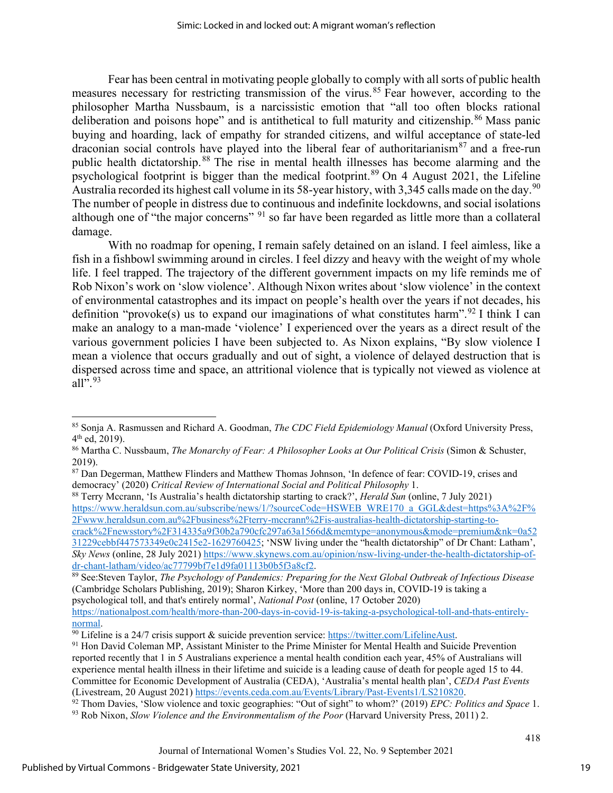Fear has been central in motivating people globally to comply with all sorts of public health measures necessary for restricting transmission of the virus.<sup>[85](#page-19-0)</sup> Fear however, according to the philosopher Martha Nussbaum, is a narcissistic emotion that "all too often blocks rational deliberation and poisons hope" and is antithetical to full maturity and citizenship.<sup>[86](#page-19-1)</sup> Mass panic buying and hoarding, lack of empathy for stranded citizens, and wilful acceptance of state-led draconian social controls have played into the liberal fear of authoritarianism $87$  and a free-run public health dictatorship. [88](#page-19-3) The rise in mental health illnesses has become alarming and the psychological footprint is bigger than the medical footprint.<sup>[89](#page-19-4)</sup> On 4 August 2021, the Lifeline Australia recorded its highest call volume in its 58-year history, with 3,345 calls made on the day. $^{90}$  $^{90}$  $^{90}$ The number of people in distress due to continuous and indefinite lockdowns, and social isolations although one of "the major concerns" <sup>[91](#page-19-6)</sup> so far have been regarded as little more than a collateral damage.

With no roadmap for opening, I remain safely detained on an island. I feel aimless, like a fish in a fishbowl swimming around in circles. I feel dizzy and heavy with the weight of my whole life. I feel trapped. The trajectory of the different government impacts on my life reminds me of Rob Nixon's work on 'slow violence'. Although Nixon writes about 'slow violence' in the context of environmental catastrophes and its impact on people's health over the years if not decades, his definition "provoke(s) us to expand our imaginations of what constitutes harm".<sup>[92](#page-19-7)</sup> I think I can make an analogy to a man-made 'violence' I experienced over the years as a direct result of the various government policies I have been subjected to. As Nixon explains, "By slow violence I mean a violence that occurs gradually and out of sight, a violence of delayed destruction that is dispersed across time and space, an attritional violence that is typically not viewed as violence at all".  $93$ 

<span id="page-19-3"></span>democracy' (2020) *Critical Review of International Social and Political Philosophy* 1. 88 Terry Mccrann, 'Is Australia's health dictatorship starting to crack?', *Herald Sun* (online, 7 July 2021) [https://www.heraldsun.com.au/subscribe/news/1/?sourceCode=HSWEB\\_WRE170\\_a\\_GGL&dest=https%3A%2F%](https://www.heraldsun.com.au/subscribe/news/1/?sourceCode=HSWEB_WRE170_a_GGL&dest=https%3A%2F%2Fwww.heraldsun.com.au%2Fbusiness%2Fterry-mccrann%2Fis-australias-health-dictatorship-starting-to-crack%2Fnewsstory%2F314335a9f30b2a790cfc297a63a1566d&memtype=anonymous&mode=premium&nk=0a5231229cebbf447573349e0c2415e2-1629760425) [2Fwww.heraldsun.com.au%2Fbusiness%2Fterry-mccrann%2Fis-australias-health-dictatorship-starting-to-](https://www.heraldsun.com.au/subscribe/news/1/?sourceCode=HSWEB_WRE170_a_GGL&dest=https%3A%2F%2Fwww.heraldsun.com.au%2Fbusiness%2Fterry-mccrann%2Fis-australias-health-dictatorship-starting-to-crack%2Fnewsstory%2F314335a9f30b2a790cfc297a63a1566d&memtype=anonymous&mode=premium&nk=0a5231229cebbf447573349e0c2415e2-1629760425)

[crack%2Fnewsstory%2F314335a9f30b2a790cfc297a63a1566d&memtype=anonymous&mode=premium&nk=0a52](https://www.heraldsun.com.au/subscribe/news/1/?sourceCode=HSWEB_WRE170_a_GGL&dest=https%3A%2F%2Fwww.heraldsun.com.au%2Fbusiness%2Fterry-mccrann%2Fis-australias-health-dictatorship-starting-to-crack%2Fnewsstory%2F314335a9f30b2a790cfc297a63a1566d&memtype=anonymous&mode=premium&nk=0a5231229cebbf447573349e0c2415e2-1629760425) [31229cebbf447573349e0c2415e2-1629760425;](https://www.heraldsun.com.au/subscribe/news/1/?sourceCode=HSWEB_WRE170_a_GGL&dest=https%3A%2F%2Fwww.heraldsun.com.au%2Fbusiness%2Fterry-mccrann%2Fis-australias-health-dictatorship-starting-to-crack%2Fnewsstory%2F314335a9f30b2a790cfc297a63a1566d&memtype=anonymous&mode=premium&nk=0a5231229cebbf447573349e0c2415e2-1629760425) 'NSW living under the "health dictatorship" of Dr Chant: Latham', *Sky News* (online, 28 July 2021) [https://www.skynews.com.au/opinion/nsw-living-under-the-health-dictatorship-of](https://www.skynews.com.au/opinion/nsw-living-under-the-health-dictatorship-of-dr-chant-latham/video/ac77799bf7e1d9fa01113b0b5f3a8cf2)[dr-chant-latham/video/ac77799bf7e1d9fa01113b0b5f3a8cf2.](https://www.skynews.com.au/opinion/nsw-living-under-the-health-dictatorship-of-dr-chant-latham/video/ac77799bf7e1d9fa01113b0b5f3a8cf2)<br><sup>89</sup> See:Steven Taylor, *The Psychology of Pandemics: Preparing for the Next Global Outbreak of Infectious Disease* 

<span id="page-19-4"></span>(Cambridge Scholars Publishing, 2019); Sharon Kirkey, 'More than 200 days in, COVID-19 is taking a psychological toll, and that's entirely normal', *National Post* (online, 17 October 2020)

<span id="page-19-0"></span><sup>85</sup> Sonja A. Rasmussen and Richard A. Goodman, *The CDC Field Epidemiology Manual* (Oxford University Press, 4<sup>th</sup> ed, 2019).<br><sup>86</sup> Martha C. Nussbaum, *The Monarchy of Fear: A Philosopher Looks at Our Political Crisis* (Simon & Schuster,

<span id="page-19-1"></span><sup>2019).</sup> 

<span id="page-19-2"></span><sup>&</sup>lt;sup>87</sup> Dan Degerman, Matthew Flinders and Matthew Thomas Johnson, 'In defence of fear: COVID-19, crises and democracy' (2020) Critical Review of International Social and Political Philosophy 1.

[https://nationalpost.com/health/more-than-200-days-in-covid-19-is-taking-a-psychological-toll-and-thats-entirely-](https://nationalpost.com/health/more-than-200-days-in-covid-19-is-taking-a-psychological-toll-and-thats-entirely-normal)

<span id="page-19-6"></span><span id="page-19-5"></span><sup>&</sup>lt;sup>90</sup> Lifeline is a 24/7 crisis support & suicide prevention service: https://twitter[.](https://twitter.com/LifelineAust)com/LifelineAust. <sup>91</sup> Hon David Coleman MP, Assistant Minister to the Prime Minister for Mental Health and Suicide Prevention reported recently that 1 in 5 Australians experience a mental health condition each year, 45% of Australians will experience mental health illness in their lifetime and suicide is a leading cause of death for people aged 15 to 44. Committee for Economic Development of Australia (CEDA), 'Australia's mental health plan', *CEDA Past Events* 

<span id="page-19-7"></span><sup>&</sup>lt;sup>92</sup> Thom Davies, 'Slow violence and toxic geographies: "Out of sight" to whom?' (2019) *EPC: Politics and Space 1*[.](https://events.ceda.com.au/Events/Library/Past-Events1/LS210820)

<span id="page-19-8"></span><sup>93</sup> Rob Nixon, *Slow Violence and the Environmentalism of the Poor* (Harvard University Press, 2011) 2.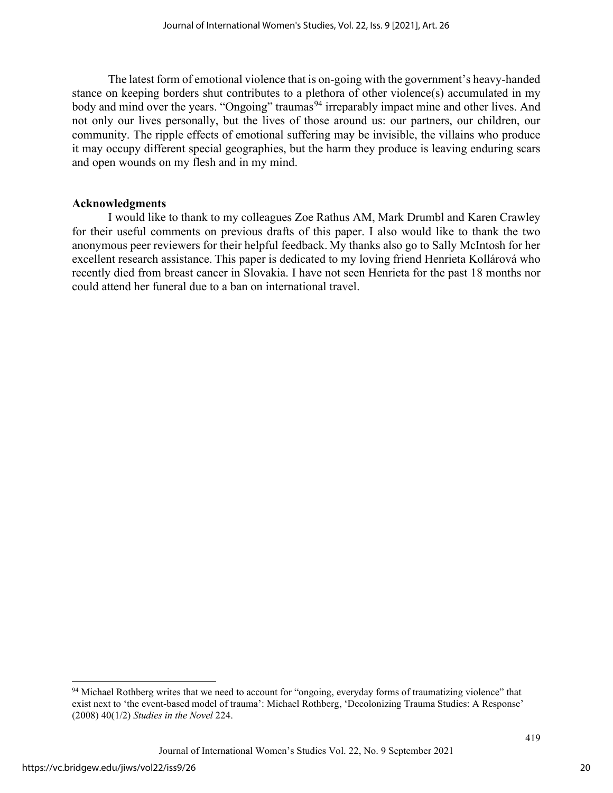The latest form of emotional violence that is on-going with the government's heavy-handed stance on keeping borders shut contributes to a plethora of other violence(s) accumulated in my body and mind over the years. "Ongoing" traumas<sup>[94](#page-20-0)</sup> irreparably impact mine and other lives. And not only our lives personally, but the lives of those around us: our partners, our children, our community. The ripple effects of emotional suffering may be invisible, the villains who produce it may occupy different special geographies, but the harm they produce is leaving enduring scars and open wounds on my flesh and in my mind.

#### **Acknowledgments**

I would like to thank to my colleagues Zoe Rathus AM, Mark Drumbl and Karen Crawley for their useful comments on previous drafts of this paper. I also would like to thank the two anonymous peer reviewers for their helpful feedback. My thanks also go to Sally McIntosh for her excellent research assistance. This paper is dedicated to my loving friend Henrieta Kollárová who recently died from breast cancer in Slovakia. I have not seen Henrieta for the past 18 months nor could attend her funeral due to a ban on international travel.

<span id="page-20-0"></span><sup>94</sup> Michael Rothberg writes that we need to account for "ongoing, everyday forms of traumatizing violence" that exist next to 'the event-based model of trauma': Michael Rothberg, 'Decolonizing Trauma Studies: A Response' (2008) 40(1/2) *Studies in the Novel* 224.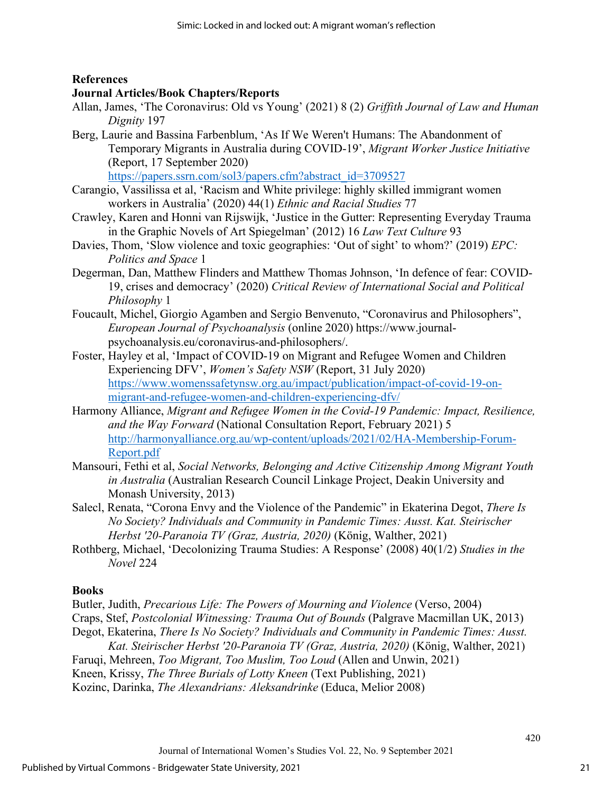#### **References**

#### **Journal Articles/Book Chapters/Reports**

- Allan, James, 'The Coronavirus: Old vs Young' (2021) 8 (2) *Griffith Journal of Law and Human Dignity* 197
- Berg, Laurie and Bassina Farbenblum, 'As If We Weren't Humans: The Abandonment of Temporary Migrants in Australia during COVID-19', *Migrant Worker Justice Initiative* (Report, 17 September 2020)

https://papers.ssrn.com/sol3/papers.cfm?abstract\_id=3709527

- Carangio, Vassilissa et al, 'Racism and White privilege: highly skilled immigrant women workers in Australia' (2020) 44(1) *Ethnic and Racial Studies* 77
- Crawley, Karen and Honni van Rijswijk, 'Justice in the Gutter: Representing Everyday Trauma in the Graphic Novels of Art Spiegelman' (2012) 16 *Law Text Culture* 93
- Davies, Thom, 'Slow violence and toxic geographies: 'Out of sight' to whom?' (2019) *EPC*: *Politics and Space* 1
- Degerman, Dan, Matthew Flinders and Matthew Thomas Johnson, 'In defence of fear: COVID-19, crises and democracy' (2020) *Critical Review of International Social and Political Philosophy* 1
- Foucault, Michel, Giorgio Agamben and Sergio Benvenuto, "Coronavirus and Philosophers", *European Journal of Psychoanalysis* (online 2020) https://www.journalpsychoanalysis.eu/coronavirus-and-philosophers/.
- Foster, Hayley et al, 'Impact of COVID-19 on Migrant and Refugee Women and Children Experiencing DFV', *Women's Safety NSW* (Report, 31 July 2020) [https://www.womenssafetynsw.org.au/impact/publication/impact-of-covid-19-on](https://www.womenssafetynsw.org.au/impact/publication/impact-of-covid-19-on-migrant-and-refugee-women-and-children-experiencing-dfv/)[migrant-and-refugee-women-and-children-experiencing-dfv/](https://www.womenssafetynsw.org.au/impact/publication/impact-of-covid-19-on-migrant-and-refugee-women-and-children-experiencing-dfv/)
- Harmony Alliance, *Migrant and Refugee Women in the Covid-19 Pandemic: Impact, Resilience, and the Way Forward* (National Consultation Report, February 2021) 5 [http://harmonyalliance.org.au/wp-content/uploads/2021/02/HA-Membership-Forum-](http://harmonyalliance.org.au/wp-content/uploads/2021/02/HA-Membership-Forum-Report.pdf)[Report.pdf](http://harmonyalliance.org.au/wp-content/uploads/2021/02/HA-Membership-Forum-Report.pdf)
- Mansouri, Fethi et al, *Social Networks, Belonging and Active Citizenship Among Migrant Youth in Australia* (Australian Research Council Linkage Project, Deakin University and Monash University, 2013)
- Salecl, Renata, "Corona Envy and the Violence of the Pandemic" in Ekaterina Degot, *There Is No Society? Individuals and Community in Pandemic Times: Ausst. Kat. Steirischer Herbst '20-Paranoia TV (Graz, Austria, 2020)* (König, Walther, 2021)
- Rothberg, Michael, 'Decolonizing Trauma Studies: A Response' (2008) 40(1/2) *Studies in the Novel* 224

#### **Books**

- Butler, Judith, *Precarious Life: The Powers of Mourning and Violence* (Verso, 2004)
- Craps, Stef, *Postcolonial Witnessing: Trauma Out of Bounds* (Palgrave Macmillan UK, 2013)
- Degot, Ekaterina, *There Is No Society? Individuals and Community in Pandemic Times: Ausst. Kat. Steirischer Herbst '20-Paranoia TV (Graz, Austria, 2020)* (König, Walther, 2021)
- Faruqi, Mehreen, *Too Migrant, Too Muslim, Too Loud* (Allen and Unwin, 2021)
- Kneen, Krissy, *The Three Burials of Lotty Kneen* (Text Publishing, 2021)
- Kozinc, Darinka, *The Alexandrians: Aleksandrinke* (Educa, Melior 2008)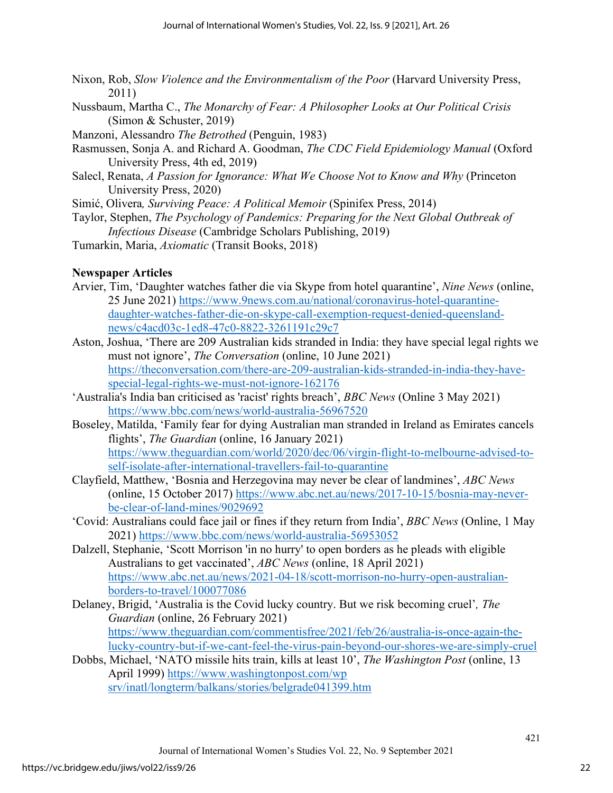- Nixon, Rob, *Slow Violence and the Environmentalism of the Poor* (Harvard University Press, 2011)
- Nussbaum, Martha C., *The Monarchy of Fear: A Philosopher Looks at Our Political Crisis* (Simon & Schuster, 2019)
- Manzoni, Alessandro *The Betrothed* (Penguin, 1983)
- Rasmussen, Sonja A. and Richard A. Goodman, *The CDC Field Epidemiology Manual* (Oxford University Press, 4th ed, 2019)
- Salecl, Renata, *A Passion for Ignorance: What We Choose Not to Know and Why* (Princeton University Press, 2020)
- Simić, Olivera*, Surviving Peace: A Political Memoir* (Spinifex Press, 2014)
- Taylor, Stephen, *The Psychology of Pandemics: Preparing for the Next Global Outbreak of Infectious Disease* (Cambridge Scholars Publishing, 2019)
- Tumarkin, Maria, *Axiomatic* (Transit Books, 2018)

#### **Newspaper Articles**

- Arvier, Tim, 'Daughter watches father die via Skype from hotel quarantine', *Nine News* (online, 25 June 2021) [https://www.9news.com.au/national/coronavirus-hotel-quarantine](https://www.9news.com.au/national/coronavirus-hotel-quarantine-daughter-watches-father-die-on-skype-call-exemption-request-denied-queensland-news/c4acd03c-1ed8-47c0-8822-3261191c29c7)[daughter-watches-father-die-on-skype-call-exemption-request-denied-queensland](https://www.9news.com.au/national/coronavirus-hotel-quarantine-daughter-watches-father-die-on-skype-call-exemption-request-denied-queensland-news/c4acd03c-1ed8-47c0-8822-3261191c29c7)[news/c4acd03c-1ed8-47c0-8822-3261191c29c7](https://www.9news.com.au/national/coronavirus-hotel-quarantine-daughter-watches-father-die-on-skype-call-exemption-request-denied-queensland-news/c4acd03c-1ed8-47c0-8822-3261191c29c7)
- Aston, Joshua, 'There are 209 Australian kids stranded in India: they have special legal rights we must not ignore', *The Conversation* (online, 10 June 2021) [https://theconversation.com/there-are-209-australian-kids-stranded-in-india-they-have](https://theconversation.com/there-are-209-australian-kids-stranded-in-india-they-have-special-legal-rights-we-must-not-ignore-162176)[special-legal-rights-we-must-not-ignore-162176](https://theconversation.com/there-are-209-australian-kids-stranded-in-india-they-have-special-legal-rights-we-must-not-ignore-162176)
- 'Australia's India ban criticised as 'racist' rights breach', *BBC News* (Online 3 May 2021) <https://www.bbc.com/news/world-australia-56967520>
- Boseley, Matilda, 'Family fear for dying Australian man stranded in Ireland as Emirates cancels flights', *The Guardian* (online, 16 January 2021) [https://www.theguardian.com/world/2020/dec/06/virgin-flight-to-melbourne-advised-to](https://www.theguardian.com/world/2020/dec/06/virgin-flight-to-melbourne-advised-to-self-isolate-after-international-travellers-fail-to-quarantine)[self-isolate-after-international-travellers-fail-to-quarantine](https://www.theguardian.com/world/2020/dec/06/virgin-flight-to-melbourne-advised-to-self-isolate-after-international-travellers-fail-to-quarantine)
- Clayfield, Matthew, 'Bosnia and Herzegovina may never be clear of landmines', *ABC News* (online, 15 October 2017) [https://www.abc.net.au/news/2017-10-15/bosnia-may-never](https://www.abc.net.au/news/2017-10-15/bosnia-may-never-be-clear-of-land-mines/9029692)[be-clear-of-land-mines/9029692](https://www.abc.net.au/news/2017-10-15/bosnia-may-never-be-clear-of-land-mines/9029692)
- 'Covid: Australians could face jail or fines if they return from India', *BBC News* (Online, 1 May 2021)<https://www.bbc.com/news/world-australia-56953052>
- Dalzell, Stephanie, 'Scott Morrison 'in no hurry' to open borders as he pleads with eligible Australians to get vaccinated', *ABC News* (online, 18 April 2021) [https://www.abc.net.au/news/2021-04-18/scott-morrison-no-hurry-open-australian](https://www.abc.net.au/news/2021-04-18/scott-morrison-no-hurry-open-australian-borders-to-travel/100077086)[borders-to-travel/100077086](https://www.abc.net.au/news/2021-04-18/scott-morrison-no-hurry-open-australian-borders-to-travel/100077086)
- Delaney, Brigid, 'Australia is the Covid lucky country. But we risk becoming cruel'*, The Guardian* (online, 26 February 2021) [https://www.theguardian.com/commentisfree/2021/feb/26/australia-is-once-again-the](https://www.theguardian.com/commentisfree/2021/feb/26/australia-is-once-again-the-lucky-country-but-if-we-cant-feel-the-virus-pain-beyond-our-shores-we-are-simply-cruel)[lucky-country-but-if-we-cant-feel-the-virus-pain-beyond-our-shores-we-are-simply-cruel](https://www.theguardian.com/commentisfree/2021/feb/26/australia-is-once-again-the-lucky-country-but-if-we-cant-feel-the-virus-pain-beyond-our-shores-we-are-simply-cruel)
- Dobbs, Michael, 'NATO missile hits train, kills at least 10', *The Washington Post* (online, 13 April 1999) [https://www.washingtonpost.com/wp](https://www.washingtonpost.com/wp%20srv/inatl/longterm/balkans/stories/belgrade041399.htm)  [srv/inatl/longterm/balkans/stories/belgrade041399.htm](https://www.washingtonpost.com/wp%20srv/inatl/longterm/balkans/stories/belgrade041399.htm)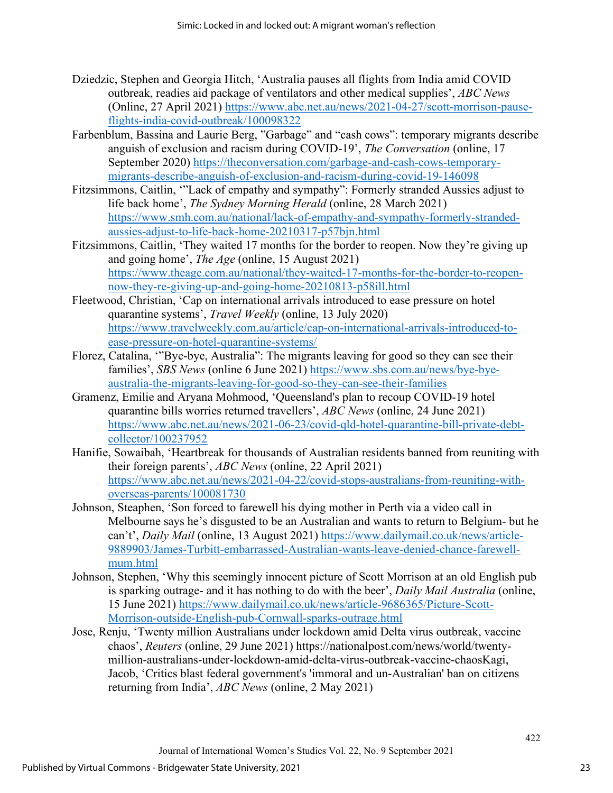- Dziedzic, Stephen and Georgia Hitch, 'Australia pauses all flights from India amid COVID outbreak, readies aid package of ventilators and other medical supplies', *ABC News* (Online, 27 April 2021) [https://www.abc.net.au/news/2021-04-27/scott-morrison-pause](https://www.abc.net.au/news/2021-04-27/scott-morrison-pause-flights-india-covid-outbreak/100098322)[flights-india-covid-outbreak/100098322](https://www.abc.net.au/news/2021-04-27/scott-morrison-pause-flights-india-covid-outbreak/100098322)
- Farbenblum, Bassina and Laurie Berg, "Garbage" and "cash cows": temporary migrants describe anguish of exclusion and racism during COVID-19', *The Conversation* (online, 17 September 2020) [https://theconversation.com/garbage-and-cash-cows-temporary](https://theconversation.com/garbage-and-cash-cows-temporary-migrants-describe-anguish-of-exclusion-and-racism-during-covid-19-146098)[migrants-describe-anguish-of-exclusion-and-racism-during-covid-19-146098](https://theconversation.com/garbage-and-cash-cows-temporary-migrants-describe-anguish-of-exclusion-and-racism-during-covid-19-146098)
- Fitzsimmons, Caitlin, '"Lack of empathy and sympathy": Formerly stranded Aussies adjust to life back home', *The Sydney Morning Herald* (online, 28 March 2021) [https://www.smh.com.au/national/lack-of-empathy-and-sympathy-formerly-stranded](https://www.smh.com.au/national/lack-of-empathy-and-sympathy-formerly-stranded-aussies-adjust-to-life-back-home-20210317-p57bjn.html)[aussies-adjust-to-life-back-home-20210317-p57bjn.html](https://www.smh.com.au/national/lack-of-empathy-and-sympathy-formerly-stranded-aussies-adjust-to-life-back-home-20210317-p57bjn.html)
- Fitzsimmons, Caitlin, 'They waited 17 months for the border to reopen. Now they're giving up and going home', *The Age* (online, 15 August 2021) [https://www.theage.com.au/national/they-waited-17-months-for-the-border-to-reopen](https://www.theage.com.au/national/they-waited-17-months-for-the-border-to-reopen-now-they-re-giving-up-and-going-home-20210813-p58ill.html)[now-they-re-giving-up-and-going-home-20210813-p58ill.html](https://www.theage.com.au/national/they-waited-17-months-for-the-border-to-reopen-now-they-re-giving-up-and-going-home-20210813-p58ill.html)
- Fleetwood, Christian, 'Cap on international arrivals introduced to ease pressure on hotel quarantine systems', *Travel Weekly* (online, 13 July 2020) [https://www.travelweekly.com.au/article/cap-on-international-arrivals-introduced-to](https://www.travelweekly.com.au/article/cap-on-international-arrivals-introduced-to-ease-pressure-on-hotel-quarantine-systems/)[ease-pressure-on-hotel-quarantine-systems/](https://www.travelweekly.com.au/article/cap-on-international-arrivals-introduced-to-ease-pressure-on-hotel-quarantine-systems/)
- Florez, Catalina, '"Bye-bye, Australia": The migrants leaving for good so they can see their families', *SBS News* (online 6 June 2021) [https://www.sbs.com.au/news/bye-bye](https://www.sbs.com.au/news/bye-bye-australia-the-migrants-leaving-for-good-so-they-can-see-their-families)[australia-the-migrants-leaving-for-good-so-they-can-see-their-families](https://www.sbs.com.au/news/bye-bye-australia-the-migrants-leaving-for-good-so-they-can-see-their-families)
- Gramenz, Emilie and Aryana Mohmood, 'Queensland's plan to recoup COVID-19 hotel quarantine bills worries returned travellers', *ABC News* (online, 24 June 2021) [https://www.abc.net.au/news/2021-06-23/covid-qld-hotel-quarantine-bill-private-debt](https://www.abc.net.au/news/2021-06-23/covid-qld-hotel-quarantine-bill-private-debt-collector/100237952)[collector/100237952](https://www.abc.net.au/news/2021-06-23/covid-qld-hotel-quarantine-bill-private-debt-collector/100237952)
- Hanifie, Sowaibah, 'Heartbreak for thousands of Australian residents banned from reuniting with their foreign parents', *ABC News* (online, 22 April 2021) [https://www.abc.net.au/news/2021-04-22/covid-stops-australians-from-reuniting-with](https://www.abc.net.au/news/2021-04-22/covid-stops-australians-from-reuniting-with-overseas-parents/100081730)[overseas-parents/100081730](https://www.abc.net.au/news/2021-04-22/covid-stops-australians-from-reuniting-with-overseas-parents/100081730)
- Johnson, Steaphen, 'Son forced to farewell his dying mother in Perth via a video call in Melbourne says he's disgusted to be an Australian and wants to return to Belgium- but he can't', *Daily Mail* (online, 13 August 2021) [https://www.dailymail.co.uk/news/article-](https://www.dailymail.co.uk/news/article-9889903/James-Turbitt-embarrassed-Australian-wants-leave-denied-chance-farewell-mum.html)[9889903/James-Turbitt-embarrassed-Australian-wants-leave-denied-chance-farewell](https://www.dailymail.co.uk/news/article-9889903/James-Turbitt-embarrassed-Australian-wants-leave-denied-chance-farewell-mum.html)[mum.html](https://www.dailymail.co.uk/news/article-9889903/James-Turbitt-embarrassed-Australian-wants-leave-denied-chance-farewell-mum.html)
- Johnson, Stephen, 'Why this seemingly innocent picture of Scott Morrison at an old English pub is sparking outrage- and it has nothing to do with the beer', *Daily Mail Australia* (online, 15 June 2021) [https://www.dailymail.co.uk/news/article-](https://www.dailymail.co.uk/news/article-9686365/Picture-Scott-Morrison-outside-English-pub-Cornwall-sparks-outrage.html)9686365/Picture-Scott-[Morrison-outside-English-pub-Cornwall-sparks-outrage.html](https://www.dailymail.co.uk/news/article-9686365/Picture-Scott-Morrison-outside-English-pub-Cornwall-sparks-outrage.html)
- Jose, Renju, 'Twenty million Australians under lockdown amid Delta virus outbreak, vaccine chaos', *Reuters* (online, 29 June 2021) https://nationalpost.com/news/world/twentymillion-australians-under-lockdown-amid-delta-virus-outbreak-vaccine-chaosKagi, Jacob, 'Critics blast federal government's 'immoral and un-Australian' ban on citizens returning from India', *ABC News* (online, 2 May 2021)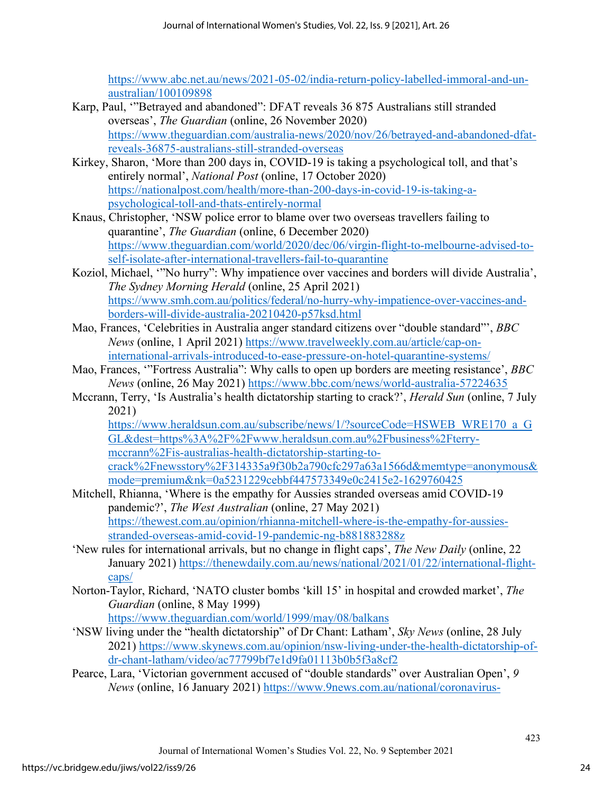[https://www.abc.net.au/news/2021-05-02/india-return-policy-labelled-immoral-and-un](https://www.abc.net.au/news/2021-05-02/india-return-policy-labelled-immoral-and-un-australian/100109898)[australian/100109898](https://www.abc.net.au/news/2021-05-02/india-return-policy-labelled-immoral-and-un-australian/100109898) 

- Karp, Paul, '"Betrayed and abandoned": DFAT reveals 36 875 Australians still stranded overseas', *The Guardian* (online, 26 November 2020) [https://www.theguardian.com/australia-news/2020/nov/26/betrayed-and-abandoned-dfat](https://www.theguardian.com/australia-news/2020/nov/26/betrayed-and-abandoned-dfat-reveals-36875-australians-still-stranded-overseas)[reveals-36875-australians-still-stranded-overseas](https://www.theguardian.com/australia-news/2020/nov/26/betrayed-and-abandoned-dfat-reveals-36875-australians-still-stranded-overseas)
- Kirkey, Sharon, 'More than 200 days in, COVID-19 is taking a psychological toll, and that's entirely normal', *National Post* (online, 17 October 2020) [https://nationalpost.com/health/more-than-200-days-in-covid-19-is-taking-a](https://nationalpost.com/health/more-than-200-days-in-covid-19-is-taking-a-psychological-toll-and-thats-entirely-normal)[psychological-toll-and-thats-entirely-normal](https://nationalpost.com/health/more-than-200-days-in-covid-19-is-taking-a-psychological-toll-and-thats-entirely-normal)
- Knaus, Christopher, 'NSW police error to blame over two overseas travellers failing to quarantine', *The Guardian* (online, 6 December 2020) [https://www.theguardian.com/world/2020/dec/06/virgin-flight-to-melbourne-advised-to](https://www.theguardian.com/world/2020/dec/06/virgin-flight-to-melbourne-advised-to-self-isolate-after-international-travellers-fail-to-quarantine)[self-isolate-after-international-travellers-fail-to-quarantine](https://www.theguardian.com/world/2020/dec/06/virgin-flight-to-melbourne-advised-to-self-isolate-after-international-travellers-fail-to-quarantine)
- Koziol, Michael, '"No hurry": Why impatience over vaccines and borders will divide Australia', *The Sydney Morning Herald* (online, 25 April 2021) [https://www.smh.com.au/politics/federal/no-hurry-why-impatience-over-vaccines-and](https://www.smh.com.au/politics/federal/no-hurry-why-impatience-over-vaccines-and-borders-will-divide-australia-20210420-p57ksd.html)[borders-will-divide-australia-20210420-p57ksd.html](https://www.smh.com.au/politics/federal/no-hurry-why-impatience-over-vaccines-and-borders-will-divide-australia-20210420-p57ksd.html)
- Mao, Frances, 'Celebrities in Australia anger standard citizens over "double standard"', *BBC News* (online, 1 April 2021) [https://www.travelweekly.com.au/article/cap-on](https://www.travelweekly.com.au/article/cap-on-international-arrivals-introduced-to-ease-pressure-on-hotel-quarantine-systems/)[international-arrivals-introduced-to-ease-pressure-on-hotel-quarantine-systems/](https://www.travelweekly.com.au/article/cap-on-international-arrivals-introduced-to-ease-pressure-on-hotel-quarantine-systems/)
- Mao, Frances, '"Fortress Australia": Why calls to open up borders are meeting resistance', *BBC News* (online, 26 May 2021)<https://www.bbc.com/news/world-australia-57224635>
- Mccrann, Terry, 'Is Australia's health dictatorship starting to crack?', *Herald Sun* (online, 7 July 2021)

[https://www.heraldsun.com.au/subscribe/news/1/?sourceCode=HSWEB\\_WRE170\\_a\\_G](https://www.heraldsun.com.au/subscribe/news/1/?sourceCode=HSWEB_WRE170_a_GGL&dest=https%3A%2F%2Fwww.heraldsun.com.au%2Fbusiness%2Fterry-mccrann%2Fis-australias-health-dictatorship-starting-to-crack%2Fnewsstory%2F314335a9f30b2a790cfc297a63a1566d&memtype=anonymous&mode=premium&nk=0a5231229cebbf447573349e0c2415e2-1629760425) GL&dest=h[ttps%3A%2F%2Fwww.heraldsun.com.au%2Fbusiness%2Fterry](https://www.heraldsun.com.au/subscribe/news/1/?sourceCode=HSWEB_WRE170_a_GGL&dest=https%3A%2F%2Fwww.heraldsun.com.au%2Fbusiness%2Fterry-mccrann%2Fis-australias-health-dictatorship-starting-to-crack%2Fnewsstory%2F314335a9f30b2a790cfc297a63a1566d&memtype=anonymous&mode=premium&nk=0a5231229cebbf447573349e0c2415e2-1629760425)[mccrann%2Fis-australias-health-dictatorship-starting-to](https://www.heraldsun.com.au/subscribe/news/1/?sourceCode=HSWEB_WRE170_a_GGL&dest=https%3A%2F%2Fwww.heraldsun.com.au%2Fbusiness%2Fterry-mccrann%2Fis-australias-health-dictatorship-starting-to-crack%2Fnewsstory%2F314335a9f30b2a790cfc297a63a1566d&memtype=anonymous&mode=premium&nk=0a5231229cebbf447573349e0c2415e2-1629760425)[crack%2Fnewsstory%2F314335a9f30b2a790cfc297a63a1566d&memtype=anonymous&](https://www.heraldsun.com.au/subscribe/news/1/?sourceCode=HSWEB_WRE170_a_GGL&dest=https%3A%2F%2Fwww.heraldsun.com.au%2Fbusiness%2Fterry-mccrann%2Fis-australias-health-dictatorship-starting-to-crack%2Fnewsstory%2F314335a9f30b2a790cfc297a63a1566d&memtype=anonymous&mode=premium&nk=0a5231229cebbf447573349e0c2415e2-1629760425) [mode=premium&nk=0a5231229cebbf447573349e0c2415e2](https://www.heraldsun.com.au/subscribe/news/1/?sourceCode=HSWEB_WRE170_a_GGL&dest=https%3A%2F%2Fwww.heraldsun.com.au%2Fbusiness%2Fterry-mccrann%2Fis-australias-health-dictatorship-starting-to-crack%2Fnewsstory%2F314335a9f30b2a790cfc297a63a1566d&memtype=anonymous&mode=premium&nk=0a5231229cebbf447573349e0c2415e2-1629760425)-1629760425

- Mitchell, Rhianna, 'Where is the empathy for Aussies stranded overseas amid COVID-19 pandemic?', *The West Australian* (online, 27 May 2021) [https://thewest.com.au/opinion/rhianna-mitchell-where-is-the-empathy-for-aussies](https://thewest.com.au/opinion/rhianna-mitchell-where-is-the-empathy-for-aussies-stranded-overseas-amid-covid-19-pandemic-ng-b881883288z)[stranded-overseas-amid-covid-19-pandemic-ng-b881883288z](https://thewest.com.au/opinion/rhianna-mitchell-where-is-the-empathy-for-aussies-stranded-overseas-amid-covid-19-pandemic-ng-b881883288z)
- 'New rules for international arrivals, but no change in flight caps', *The New Daily* (online, 22 January 2021) [https://thenewdaily.com.au/news/national/2021/01/22/international-flight](https://thenewdaily.com.au/news/national/2021/01/22/international-flight-caps/)[caps/](https://thenewdaily.com.au/news/national/2021/01/22/international-flight-caps/)
- Norton-Taylor, Richard, 'NATO cluster bombs 'kill 15' in hospital and crowded market', *The Guardian* (online, 8 May 1999)

<https://www.theguardian.com/world/1999/may/08/balkans>

- 'NSW living under the "health dictatorship" of Dr Chant: Latham', *Sky News* (online, 28 July 2021) [https://www.skynews.com.au/opinion/nsw-living-under-the-health-dictatorship-of](https://www.skynews.com.au/opinion/nsw-living-under-the-health-dictatorship-of-dr-chant-latham/video/ac77799bf7e1d9fa01113b0b5f3a8cf2)[dr-chant-latham/video/ac77799bf7e1d9fa01113b0b5f3a8cf2](https://www.skynews.com.au/opinion/nsw-living-under-the-health-dictatorship-of-dr-chant-latham/video/ac77799bf7e1d9fa01113b0b5f3a8cf2)
- Pearce, Lara, 'Victorian government accused of "double standards" over Australian Open', *9 News* (online, 16 January 2021) [https://www.9news.com.au/national/coronavirus-](https://www.9news.com.au/national/coronavirus-australian-open-tennis-players-enter-quarantine-accusations-of-double-standards/682a56e0-2b9a-4f96-8931-d2245a6d8214)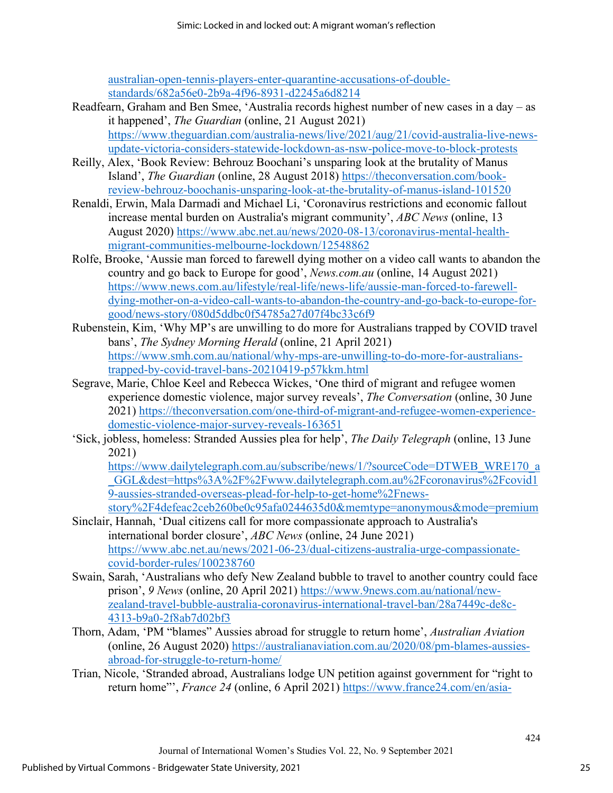[australian-open-tennis-players-enter-quarantine-accusations-of-double](https://www.9news.com.au/national/coronavirus-australian-open-tennis-players-enter-quarantine-accusations-of-double-standards/682a56e0-2b9a-4f96-8931-d2245a6d8214)[standards/682a56e0-2b9a-4f96-8931-d2245a6d8214](https://www.9news.com.au/national/coronavirus-australian-open-tennis-players-enter-quarantine-accusations-of-double-standards/682a56e0-2b9a-4f96-8931-d2245a6d8214) 

- Readfearn, Graham and Ben Smee, 'Australia records highest number of new cases in a day as it happened', *The Guardian* (online, 21 August 2021) [https://www.theguardian.com/australia-news/live/2021/aug/21/covid-australia-live-news](https://www.theguardian.com/australia-news/live/2021/aug/21/covid-australia-live-news-update-victoria-considers-statewide-lockdown-as-nsw-police-move-to-block-protests)[update-victoria-considers-statewide-lockdown-as-nsw-police-move-to-block-protests](https://www.theguardian.com/australia-news/live/2021/aug/21/covid-australia-live-news-update-victoria-considers-statewide-lockdown-as-nsw-police-move-to-block-protests)
- Reilly, Alex, 'Book Review: Behrouz Boochani's unsparing look at the brutality of Manus Island', *The Guardian* (online, 28 August 2018) [https://theconversation.com/book](https://theconversation.com/book-review-behrouz-boochanis-unsparing-look-at-the-brutality-of-manus-island-101520)[review-behrouz-boochanis-unsparing-look-at-the-brutality-of-manus-island-101520](https://theconversation.com/book-review-behrouz-boochanis-unsparing-look-at-the-brutality-of-manus-island-101520)
- Renaldi, Erwin, Mala Darmadi and Michael Li, 'Coronavirus restrictions and economic fallout increase mental burden on Australia's migrant community', *ABC News* (online, 13 August 2020) [https://www.abc.net.au/news/2020-08-13/coronavirus-mental-health](https://www.abc.net.au/news/2020-08-13/coronavirus-mental-health-migrant-communities-melbourne-lockdown/12548862)[migrant-communities-melbourne-lockdown/12548862](https://www.abc.net.au/news/2020-08-13/coronavirus-mental-health-migrant-communities-melbourne-lockdown/12548862)
- Rolfe, Brooke, 'Aussie man forced to farewell dying mother on a video call wants to abandon the country and go back to Europe for good', *News.com.au* (online, 14 August 2021) [https://www.news.com.au/lifestyle/real-life/news-life/aussie-man-forced-to-farewell](https://www.news.com.au/lifestyle/real-life/news-life/aussie-man-forced-to-farewell-dying-mother-on-a-video-call-wants-to-abandon-the-country-and-go-back-to-europe-for-good/news-story/080d5ddbc0f54785a27d07f4bc33c6f9)[dying-mother-on-a-video-call-wants-to-abandon-the-country-and-go-back-to-europe-for](https://www.news.com.au/lifestyle/real-life/news-life/aussie-man-forced-to-farewell-dying-mother-on-a-video-call-wants-to-abandon-the-country-and-go-back-to-europe-for-good/news-story/080d5ddbc0f54785a27d07f4bc33c6f9)[good/news-story/080d5ddbc0f54785a27d07f4bc33c6f9](https://www.news.com.au/lifestyle/real-life/news-life/aussie-man-forced-to-farewell-dying-mother-on-a-video-call-wants-to-abandon-the-country-and-go-back-to-europe-for-good/news-story/080d5ddbc0f54785a27d07f4bc33c6f9)
- Rubenstein, Kim, 'Why MP's are unwilling to do more for Australians trapped by COVID travel bans', *The Sydney Morning Herald* (online, 21 April 2021) [https://www.smh.com.au/national/why-mps-are-unwilling-to-do-more-for-australians](https://www.smh.com.au/national/why-mps-are-unwilling-to-do-more-for-australians-trapped-by-covid-travel-bans-20210419-p57kkm.html)[trapped-by-covid-travel-bans-20210419-p57kkm.html](https://www.smh.com.au/national/why-mps-are-unwilling-to-do-more-for-australians-trapped-by-covid-travel-bans-20210419-p57kkm.html)
- Segrave, Marie, Chloe Keel and Rebecca Wickes, 'One third of migrant and refugee women experience domestic violence, major survey reveals', *The Conversation* (online, 30 June 2021) [https://theconversation.com/one-third-of-migrant-and-refugee-women-experience](https://theconversation.com/one-third-of-migrant-and-refugee-women-experience-domestic-violence-major-survey-reveals-163651)[domestic-violence-major-survey-reveals-163651](https://theconversation.com/one-third-of-migrant-and-refugee-women-experience-domestic-violence-major-survey-reveals-163651)
- 'Sick, jobless, homeless: Stranded Aussies plea for help', *The Daily Telegraph* (online, 13 June 2021)

[https://www.dailytelegraph.com.au/subscribe/news/1/?sourceCode=DTWEB\\_WRE170\\_a](https://www.dailytelegraph.com.au/subscribe/news/1/?sourceCode=DTWEB_WRE170_a_GGL&dest=https%3A%2F%2Fwww.dailytelegraph.com.au%2Fcoronavirus%2Fcovid19-aussies-stranded-overseas-plead-for-help-to-get-home%2Fnews-story%2F4defeac2ceb260be0c95afa0244635d0&memtype=anonymous&mode=premium) [\\_GGL&dest=https%3A%2F%2Fwww.dailytelegraph.com.au%2Fcoronavirus%2Fcovid1](https://www.dailytelegraph.com.au/subscribe/news/1/?sourceCode=DTWEB_WRE170_a_GGL&dest=https%3A%2F%2Fwww.dailytelegraph.com.au%2Fcoronavirus%2Fcovid19-aussies-stranded-overseas-plead-for-help-to-get-home%2Fnews-story%2F4defeac2ceb260be0c95afa0244635d0&memtype=anonymous&mode=premium) [9-aussies-stranded-overseas-plead-for-help-to-get-home%2Fnews](https://www.dailytelegraph.com.au/subscribe/news/1/?sourceCode=DTWEB_WRE170_a_GGL&dest=https%3A%2F%2Fwww.dailytelegraph.com.au%2Fcoronavirus%2Fcovid19-aussies-stranded-overseas-plead-for-help-to-get-home%2Fnews-story%2F4defeac2ceb260be0c95afa0244635d0&memtype=anonymous&mode=premium)stor[y%2F4defeac2ceb260be0c95afa0244635d0&memtype=anonymous&mode=premium](https://www.dailytelegraph.com.au/subscribe/news/1/?sourceCode=DTWEB_WRE170_a_GGL&dest=https%3A%2F%2Fwww.dailytelegraph.com.au%2Fcoronavirus%2Fcovid19-aussies-stranded-overseas-plead-for-help-to-get-home%2Fnews-story%2F4defeac2ceb260be0c95afa0244635d0&memtype=anonymous&mode=premium)

- Sinclair, Hannah, 'Dual citizens call for more compassionate approach to Australia's international border closure', *ABC News* (online, 24 June 2021) [https://www.abc.net.au/news/2021-06-23/dual-citizens-australia-urge-compassionate](https://www.abc.net.au/news/2021-06-23/dual-citizens-australia-urge-compassionate-covid-border-rules/100238760)[covid-border-rules/100238760](https://www.abc.net.au/news/2021-06-23/dual-citizens-australia-urge-compassionate-covid-border-rules/100238760)
- Swain, Sarah, 'Australians who defy New Zealand bubble to travel to another country could face prison', *9 News* (online, 20 April 2021) [https://www.9news.com.au/national/new](https://www.9news.com.au/national/new-zealand-travel-bubble-australia-coronavirus-international-travel-ban/28a7449c-de8c-4313-b9a0-2f8ab7d02bf3)[zealand-travel-bubble-australia-coronavirus-international-travel-ban/28a7449c-de8c-](https://www.9news.com.au/national/new-zealand-travel-bubble-australia-coronavirus-international-travel-ban/28a7449c-de8c-4313-b9a0-2f8ab7d02bf3)[4313-b9a0-2f8ab7d02bf3](https://www.9news.com.au/national/new-zealand-travel-bubble-australia-coronavirus-international-travel-ban/28a7449c-de8c-4313-b9a0-2f8ab7d02bf3)
- Thorn, Adam, 'PM "blames" Aussies abroad for struggle to return home', *Australian Aviation* (online, 26 August 2020) [https://australianaviation.com.au/2020/08/pm-blames-aussies](https://australianaviation.com.au/2020/08/pm-blames-aussies-abroad-for-struggle-to-return-home/)[abroad-for-struggle-to-return-home/](https://australianaviation.com.au/2020/08/pm-blames-aussies-abroad-for-struggle-to-return-home/)
- Trian, Nicole, 'Stranded abroad, Australians lodge UN petition against government for "right to return home"', *France 24* (online, 6 April 2021) [https://www.france24.com/en/asia-](https://www.france24.com/en/asia-pacific/20210406-stranded-abroad-australians-lodge-un-petition-against-govt-for-right-to-return-home)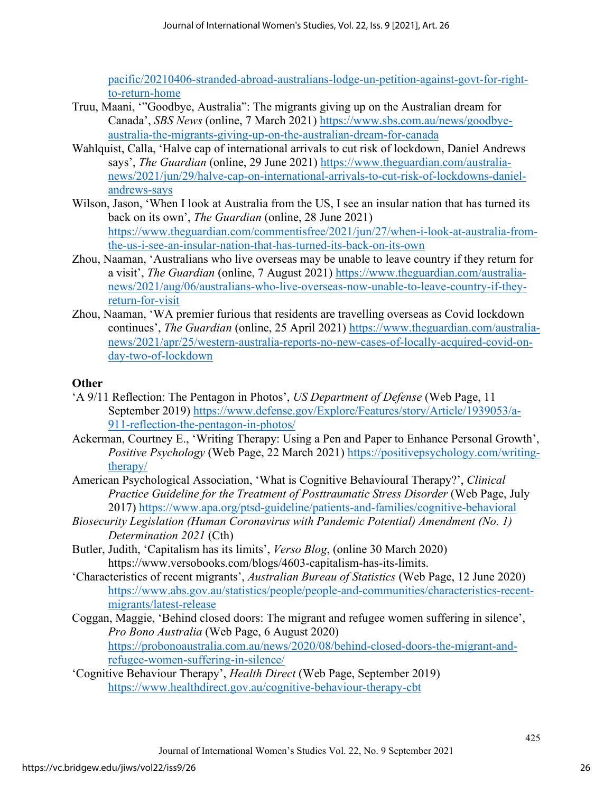[pacific/20210406-stranded-abroad-australians-lodge-un-petition-against-govt-for-right](https://www.france24.com/en/asia-pacific/20210406-stranded-abroad-australians-lodge-un-petition-against-govt-for-right-to-return-home)[to-return-home](https://www.france24.com/en/asia-pacific/20210406-stranded-abroad-australians-lodge-un-petition-against-govt-for-right-to-return-home) 

- Truu, Maani, '"Goodbye, Australia": The migrants giving up on the Australian dream for Canada', *SBS News* (online, 7 March 2021) [https://www.sbs.com.au/news/goodbye](https://www.sbs.com.au/news/goodbye-australia-the-migrants-giving-up-on-the-australian-dream-for-canada)[australia-the-migrants-giving-up-on-the-australian-dream-for-canada](https://www.sbs.com.au/news/goodbye-australia-the-migrants-giving-up-on-the-australian-dream-for-canada)
- Wahlquist, Calla, 'Halve cap of international arrivals to cut risk of lockdown, Daniel Andrews says', *The Guardian* (online, 29 June 2021) [https://www.theguardian.com/australia](https://www.theguardian.com/australia-news/2021/jun/29/halve-cap-on-international-arrivals-to-cut-risk-of-lockdowns-daniel-andrews-says)[news/2021/jun/29/halve-cap-on-international-arrivals-to-cut-risk-of-lockdowns-daniel](https://www.theguardian.com/australia-news/2021/jun/29/halve-cap-on-international-arrivals-to-cut-risk-of-lockdowns-daniel-andrews-says)[andrews-says](https://www.theguardian.com/australia-news/2021/jun/29/halve-cap-on-international-arrivals-to-cut-risk-of-lockdowns-daniel-andrews-says)
- Wilson, Jason, 'When I look at Australia from the US, I see an insular nation that has turned its back on its own', *The Guardian* (online, 28 June 2021) [https://www.theguardian.com/commentisfree/2021/jun/27/when-i-look-at-australia-from](https://www.theguardian.com/commentisfree/2021/jun/27/when-i-look-at-australia-from-the-us-i-see-an-insular-nation-that-has-turned-its-back-on-its-own)[the-us-i-see-an-insular-nation-that-has-turned-its-back-on-its-own](https://www.theguardian.com/commentisfree/2021/jun/27/when-i-look-at-australia-from-the-us-i-see-an-insular-nation-that-has-turned-its-back-on-its-own)
- Zhou, Naaman, 'Australians who live overseas may be unable to leave country if they return for a visit', *The Guardian* (online, 7 August 2021) [https://www.theguardian.com/australia](https://www.theguardian.com/australia-news/2021/aug/06/australians-who-live-overseas-now-unable-to-leave-country-if-they-return-for-visit)[news/2021/aug/06/australians-who-live-overseas-now-unable-to-leave-country-if-they](https://www.theguardian.com/australia-news/2021/aug/06/australians-who-live-overseas-now-unable-to-leave-country-if-they-return-for-visit)[return-for-visit](https://www.theguardian.com/australia-news/2021/aug/06/australians-who-live-overseas-now-unable-to-leave-country-if-they-return-for-visit)
- Zhou, Naaman, 'WA premier furious that residents are travelling overseas as Covid lockdown continues', *The Guardian* (online, 25 April 2021) [https://www.theguardian.com/australia](https://www.theguardian.com/australia-news/2021/apr/25/western-australia-reports-no-new-cases-of-locally-acquired-covid-on-day-two-of-lockdown)[news/2021/apr/25/western-australia-reports-no-new-cases-of-locally-acquired-covid-on](https://www.theguardian.com/australia-news/2021/apr/25/western-australia-reports-no-new-cases-of-locally-acquired-covid-on-day-two-of-lockdown)[day-two-of-lockdown](https://www.theguardian.com/australia-news/2021/apr/25/western-australia-reports-no-new-cases-of-locally-acquired-covid-on-day-two-of-lockdown)

#### **Other**

- 'A 9/11 Reflection: The Pentagon in Photos', *US Department of Defense* (Web Page, 11 September 2019) [https://www.defense.gov/Explore/Features/story/Article/1939053/a-](https://www.defense.gov/Explore/Features/story/Article/1939053/a-911-reflection-the-pentagon-in-photos/)[911-reflection-the-pentagon-in-photos/](https://www.defense.gov/Explore/Features/story/Article/1939053/a-911-reflection-the-pentagon-in-photos/)
- Ackerman, Courtney E., 'Writing Therapy: Using a Pen and Paper to Enhance Personal Growth', *Positive Psychology* (Web Page, 22 March 2021) [https://positivepsychology.com/writing](https://positivepsychology.com/writing-therapy/)[therapy/](https://positivepsychology.com/writing-therapy/)
- American Psychological Association, 'What is Cognitive Behavioural Therapy?', *Clinical Practice Guideline for the Treatment of Posttraumatic Stress Disorder* (Web Page, July 2017)<https://www.apa.org/ptsd-guideline/patients-and-families/cognitive-behavioral>
- *Biosecurity Legislation (Human Coronavirus with Pandemic Potential) Amendment (No. 1) Determination 2021* (Cth)
- Butler, Judith, 'Capitalism has its limits', *Verso Blog*, (online 30 March 2020) https://www.versobooks.com/blogs/4603-capitalism-has-its-limits.
- 'Characteristics of recent migrants', *Australian Bureau of Statistics* (Web Page, 12 June 2020) [https://www.abs.gov.au/statistics/people/people-and-communities/characteristics-recent](https://www.abs.gov.au/statistics/people/people-and-communities/characteristics-recent-migrants/latest-release)[migrants/latest-release](https://www.abs.gov.au/statistics/people/people-and-communities/characteristics-recent-migrants/latest-release)
- Coggan, Maggie, 'Behind closed doors: The migrant and refugee women suffering in silence', *Pro Bono Australia* (Web Page, 6 August 2020) [https://probonoaustralia.com.au/news/2020/08/behind-closed-doors-the-migrant-and](https://probonoaustralia.com.au/news/2020/08/behind-closed-doors-the-migrant-and-refugee-women-suffering-in-silence/)[refugee-women-suffering-in-silence/](https://probonoaustralia.com.au/news/2020/08/behind-closed-doors-the-migrant-and-refugee-women-suffering-in-silence/)
- 'Cognitive Behaviour Therapy', *Health Direct* (Web Page, September 2019) <https://www.healthdirect.gov.au/cognitive-behaviour-therapy-cbt>